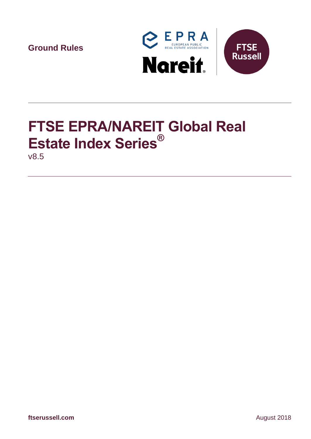**Ground Rules**



# **FTSE EPRA/NAREIT Global Real Estate Index Series®**

v8.5

**ftserussell.com** August 2018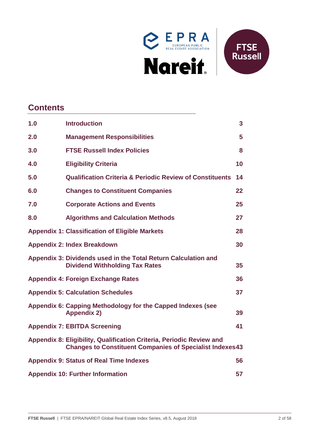



# **Contents**

| 1.0 | <b>Introduction</b>                                                                                                                     | 3  |
|-----|-----------------------------------------------------------------------------------------------------------------------------------------|----|
| 2.0 | <b>Management Responsibilities</b>                                                                                                      | 5  |
| 3.0 | <b>FTSE Russell Index Policies</b>                                                                                                      | 8  |
| 4.0 | <b>Eligibility Criteria</b>                                                                                                             | 10 |
| 5.0 | <b>Qualification Criteria &amp; Periodic Review of Constituents</b>                                                                     | 14 |
| 6.0 | <b>Changes to Constituent Companies</b>                                                                                                 | 22 |
| 7.0 | <b>Corporate Actions and Events</b>                                                                                                     | 25 |
| 8.0 | <b>Algorithms and Calculation Methods</b>                                                                                               | 27 |
|     | <b>Appendix 1: Classification of Eligible Markets</b>                                                                                   | 28 |
|     | <b>Appendix 2: Index Breakdown</b>                                                                                                      | 30 |
|     | Appendix 3: Dividends used in the Total Return Calculation and<br><b>Dividend Withholding Tax Rates</b>                                 | 35 |
|     | <b>Appendix 4: Foreign Exchange Rates</b>                                                                                               | 36 |
|     | <b>Appendix 5: Calculation Schedules</b>                                                                                                | 37 |
|     | Appendix 6: Capping Methodology for the Capped Indexes (see<br><b>Appendix 2)</b>                                                       | 39 |
|     | <b>Appendix 7: EBITDA Screening</b>                                                                                                     | 41 |
|     | Appendix 8: Eligibility, Qualification Criteria, Periodic Review and<br><b>Changes to Constituent Companies of Specialist Indexes43</b> |    |
|     | <b>Appendix 9: Status of Real Time Indexes</b>                                                                                          | 56 |
|     | <b>Appendix 10: Further Information</b>                                                                                                 | 57 |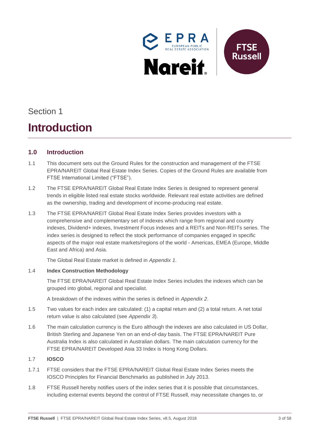

# Section 1

# **Introduction**

# <span id="page-2-0"></span>**1.0 Introduction**

- 1.1 This document sets out the Ground Rules for the construction and management of the FTSE EPRA/NAREIT Global Real Estate Index Series. Copies of the Ground Rules are available from FTSE International Limited ("FTSE").
- 1.2 The FTSE EPRA/NAREIT Global Real Estate Index Series is designed to represent general trends in eligible listed real estate stocks worldwide. Relevant real estate activities are defined as the ownership, trading and development of income-producing real estate.
- 1.3 The FTSE EPRA/NAREIT Global Real Estate Index Series provides investors with a comprehensive and complementary set of indexes which range from regional and country indexes, Dividend+ indexes, Investment Focus indexes and a REITs and Non-REITs series. The index series is designed to reflect the stock performance of companies engaged in specific aspects of the major real estate markets/regions of the world - Americas, EMEA (Europe, Middle East and Africa) and Asia.

The Global Real Estate market is defined in *Appendix 1*.

### 1.4 **Index Construction Methodology**

The FTSE EPRA/NAREIT Global Real Estate Index Series includes the indexes which can be grouped into global, regional and specialist.

A breakdown of the indexes within the series is defined in *Appendix 2*.

- 1.5 Two values for each index are calculated: (1) a capital return and (2) a total return. A net total return value is also calculated (see *Appendix 3*).
- 1.6 The main calculation currency is the Euro although the indexes are also calculated in US Dollar, British Sterling and Japanese Yen on an end-of-day basis. The FTSE EPRA/NAREIT Pure Australia Index is also calculated in Australian dollars. The main calculation currency for the FTSE EPRA/NAREIT Developed Asia 33 Index is Hong Kong Dollars.

## 1.7 **IOSCO**

- 1.7.1 FTSE considers that the FTSE EPRA/NAREIT Global Real Estate Index Series meets the IOSCO Principles for Financial Benchmarks as published in July 2013.
- 1.8 FTSE Russell hereby notifies users of the index series that it is possible that circumstances, including external events beyond the control of FTSE Russell, may necessitate changes to, or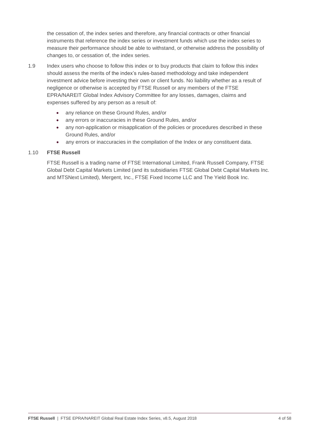the cessation of, the index series and therefore, any financial contracts or other financial instruments that reference the index series or investment funds which use the index series to measure their performance should be able to withstand, or otherwise address the possibility of changes to, or cessation of, the index series.

- 1.9 Index users who choose to follow this index or to buy products that claim to follow this index should assess the merits of the index's rules-based methodology and take independent investment advice before investing their own or client funds. No liability whether as a result of negligence or otherwise is accepted by FTSE Russell or any members of the FTSE EPRA/NAREIT Global Index Advisory Committee for any losses, damages, claims and expenses suffered by any person as a result of:
	- any reliance on these Ground Rules, and/or
	- any errors or inaccuracies in these Ground Rules, and/or
	- any non-application or misapplication of the policies or procedures described in these Ground Rules, and/or
	- any errors or inaccuracies in the compilation of the Index or any constituent data.

#### 1.10 **FTSE Russell**

FTSE Russell is a trading name of FTSE International Limited, Frank Russell Company, FTSE Global Debt Capital Markets Limited (and its subsidiaries FTSE Global Debt Capital Markets Inc. and MTSNext Limited), Mergent, Inc., FTSE Fixed Income LLC and The Yield Book Inc.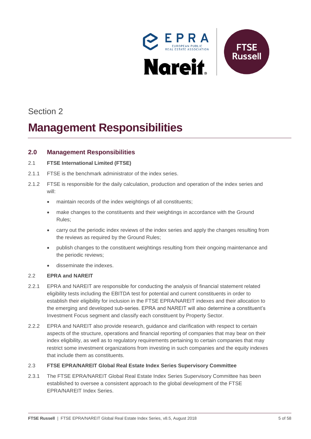

# Section 2

# *2B***Management Responsibilities**

## <span id="page-4-0"></span>**2.0 Management Responsibilities**

### 2.1 **FTSE International Limited (FTSE)**

- 2.1.1 FTSE is the benchmark administrator of the index series.
- 2.1.2 FTSE is responsible for the daily calculation, production and operation of the index series and will:
	- maintain records of the index weightings of all constituents;
	- make changes to the constituents and their weightings in accordance with the Ground Rules;
	- carry out the periodic index reviews of the index series and apply the changes resulting from the reviews as required by the Ground Rules;
	- publish changes to the constituent weightings resulting from their ongoing maintenance and the periodic reviews;
	- disseminate the indexes.

### 2.2 **EPRA and NAREIT**

- 2.2.1 EPRA and NAREIT are responsible for conducting the analysis of financial statement related eligibility tests including the EBITDA test for potential and current constituents in order to establish their eligibility for inclusion in the FTSE EPRA/NAREIT indexes and their allocation to the emerging and developed sub-series. EPRA and NAREIT will also determine a constituent's Investment Focus segment and classify each constituent by Property Sector.
- 2.2.2 EPRA and NAREIT also provide research, guidance and clarification with respect to certain aspects of the structure, operations and financial reporting of companies that may bear on their index eligibility, as well as to regulatory requirements pertaining to certain companies that may restrict some investment organizations from investing in such companies and the equity indexes that include them as constituents.

#### 2.3 **FTSE EPRA/NAREIT Global Real Estate Index Series Supervisory Committee**

2.3.1 The FTSE EPRA/NAREIT Global Real Estate Index Series Supervisory Committee has been established to oversee a consistent approach to the global development of the FTSE EPRA/NAREIT Index Series.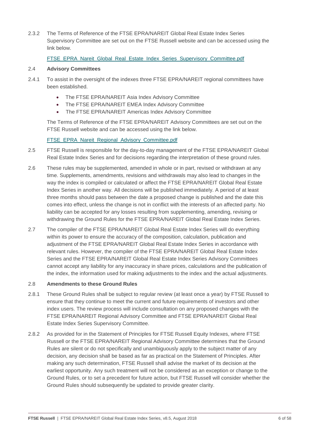2.3.2 The Terms of Reference of the FTSE EPRA/NAREIT Global Real Estate Index Series Supervisory Committee are set out on the FTSE Russell website and can be accessed using the link below.

### [FTSE\\_EPRA\\_Nareit\\_Global\\_Real\\_Estate\\_Index\\_Series\\_Supervisory\\_Committee.pdf](http://www.ftse.com/products/downloads/FTSE_EPRA_NAREIT_Global_Real_Estate_Index_Series_Supervisory_Committee.pdf)

#### 2.4 **Advisory Committees**

- 2.4.1 To assist in the oversight of the indexes three FTSE EPRA/NAREIT regional committees have been established.
	- The FTSE EPRA/NAREIT Asia Index Advisory Committee
	- The FTSE EPRA/NAREIT EMEA Index Advisory Committee
	- The FTSE EPRA/NAREIT Americas Index Advisory Committee

The Terms of Reference of the FTSE EPRA/NAREIT Advisory Committees are set out on the FTSE Russell website and can be accessed using the link below.

#### [FTSE\\_EPRA\\_Nareit\\_Regional\\_Advisory\\_Committee.pdf](http://www.ftse.com/products/downloads/FTSE_EPRA_NAREIT_Regional_Advisory_Committee.pdf)

- 2.5 FTSE Russell is responsible for the day-to-day management of the FTSE EPRA/NAREIT Global Real Estate Index Series and for decisions regarding the interpretation of these ground rules.
- 2.6 These rules may be supplemented, amended in whole or in part, revised or withdrawn at any time. Supplements, amendments, revisions and withdrawals may also lead to changes in the way the index is compiled or calculated or affect the FTSE EPRA/NAREIT Global Real Estate Index Series in another way. All decisions will be published immediately. A period of at least three months should pass between the date a proposed change is published and the date this comes into effect, unless the change is not in conflict with the interests of an affected party. No liability can be accepted for any losses resulting from supplementing, amending, revising or withdrawing the Ground Rules for the FTSE EPRA/NAREIT Global Real Estate Index Series.
- 2.7 The compiler of the FTSE EPRA/NAREIT Global Real Estate Index Series will do everything within its power to ensure the accuracy of the composition, calculation, publication and adjustment of the FTSE EPRA/NAREIT Global Real Estate Index Series in accordance with relevant rules. However, the compiler of the FTSE EPRA/NAREIT Global Real Estate Index Series and the FTSE EPRA/NAREIT Global Real Estate Index Series Advisory Committees cannot accept any liability for any inaccuracy in share prices, calculations and the publication of the index, the information used for making adjustments to the index and the actual adjustments.

#### 2.8 **Amendments to these Ground Rules**

- 2.8.1 These Ground Rules shall be subject to regular review (at least once a year) by FTSE Russell to ensure that they continue to meet the current and future requirements of investors and other index users. The review process will include consultation on any proposed changes with the FTSE EPRA/NAREIT Regional Advisory Committee and FTSE EPRA/NAREIT Global Real Estate Index Series Supervisory Committee.
- 2.8.2 As provided for in the Statement of Principles for FTSE Russell Equity Indexes, where FTSE Russell or the FTSE EPRA/NAREIT Regional Advisory Committee determines that the Ground Rules are silent or do not specifically and unambiguously apply to the subject matter of any decision, any decision shall be based as far as practical on the Statement of Principles. After making any such determination, FTSE Russell shall advise the market of its decision at the earliest opportunity. Any such treatment will not be considered as an exception or change to the Ground Rules, or to set a precedent for future action, but FTSE Russell will consider whether the Ground Rules should subsequently be updated to provide greater clarity.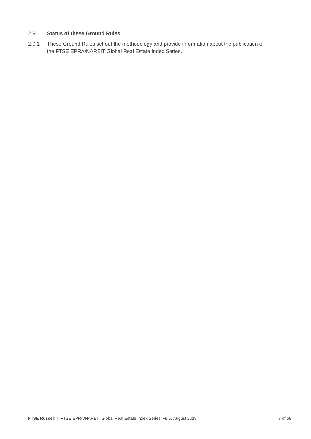### 2.9 **Status of these Ground Rules**

2.9.1 These Ground Rules set out the methodology and provide information about the publication of the FTSE EPRA/NAREIT Global Real Estate Index Series.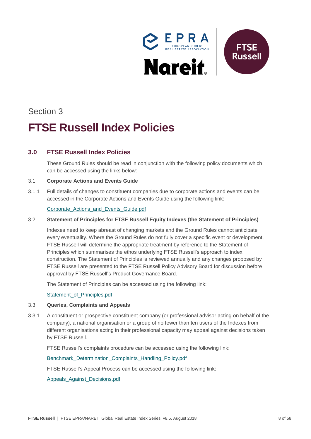

# Section 3

# *2B***FTSE Russell Index Policies**

# <span id="page-7-0"></span>**3.0 FTSE Russell Index Policies**

These Ground Rules should be read in conjunction with the following policy documents which can be accessed using the links below:

#### 3.1 **Corporate Actions and Events Guide**

3.1.1 Full details of changes to constituent companies due to corporate actions and events can be accessed in the Corporate Actions and Events Guide using the following link:

#### [Corporate\\_Actions\\_and\\_Events\\_Guide.pdf](http://www.ftse.com/products/downloads/Corporate_Actions_and_Events_Guide.pdf)

#### 3.2 **Statement of Principles for FTSE Russell Equity Indexes (the Statement of Principles)**

Indexes need to keep abreast of changing markets and the Ground Rules cannot anticipate every eventuality. Where the Ground Rules do not fully cover a specific event or development, FTSE Russell will determine the appropriate treatment by reference to the Statement of Principles which summarises the ethos underlying FTSE Russell's approach to index construction. The Statement of Principles is reviewed annually and any changes proposed by FTSE Russell are presented to the FTSE Russell Policy Advisory Board for discussion before approval by FTSE Russell's Product Governance Board.

The Statement of Principles can be accessed using the following link:

[Statement\\_of\\_Principles.pdf](http://www.ftse.com/products/downloads/Statement_of_Principles.pdf)

#### 3.3 **Queries, Complaints and Appeals**

3.3.1 A constituent or prospective constituent company (or professional advisor acting on behalf of the company), a national organisation or a group of no fewer than ten users of the Indexes from different organisations acting in their professional capacity may appeal against decisions taken by FTSE Russell.

FTSE Russell's complaints procedure can be accessed using the following link:

Benchmark Determination Complaints Handling Policy.pdf

FTSE Russell's Appeal Process can be accessed using the following link:

[Appeals\\_Against\\_Decisions.pdf](http://www.ftse.com/products/downloads/Appeals_Against_Decisions.pdf)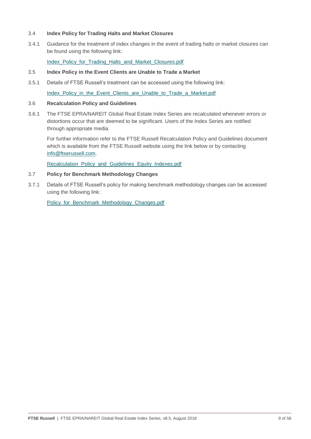#### 3.4 **Index Policy for Trading Halts and Market Closures**

3.4.1 Guidance for the treatment of index changes in the event of trading halts or market closures can be found using the following link:

[Index\\_Policy\\_for\\_Trading\\_Halts\\_and\\_Market\\_Closures.pdf](http://www.ftse.com/products/downloads/FTSE_Russell_Index_Policy_for_Trading_Halts_and_Market_Closures.pdf)

#### 3.5 **Index Policy in the Event Clients are Unable to Trade a Market**

3.5.1 Details of FTSE Russell's treatment can be accessed using the following link:

[Index\\_Policy\\_in\\_the\\_Event\\_Clients\\_are\\_Unable\\_to\\_Trade\\_a\\_Market.pdf](http://www.ftse.com/products/downloads/FTSE_Russell_Index_Policy_in_the_Event_Clients_are_Unable_to_Trade_a_Market.pdf)

#### 3.6 **Recalculation Policy and Guidelines**

3.6.1 The FTSE EPRA/NAREIT Global Real Estate Index Series are recalculated whenever errors or distortions occur that are deemed to be significant. Users of the Index Series are notified through appropriate media.

For further information refer to the FTSE Russell Recalculation Policy and Guidelines document which is available from the FTSE Russell website using the link below or by contacting [info@ftserussell.com.](mailto:info@ftserussell.com)

[Recalculation\\_Policy\\_and\\_Guidelines\\_Equity\\_Indexes.pdf](http://www.ftse.com/products/downloads/Equity_Index_Recalculation_Policy_and_Guidelines.pdf)

#### 3.7 **Policy for Benchmark Methodology Changes**

3.7.1 Details of FTSE Russell's policy for making benchmark methodology changes can be accessed using the following link:

[Policy\\_for\\_Benchmark\\_Methodology\\_Changes.pdf](http://www.ftse.com/products/downloads/FTSE_Russell_Policy_for_Benchmark_Methodology_Changes.pdf)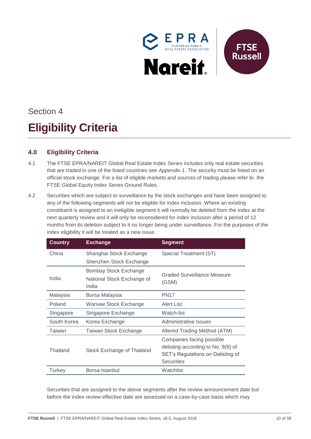

# Section 4 *3B***Eligibility Criteria**

# <span id="page-9-0"></span>**4.0 Eligibility Criteria**

- 4.1 The FTSE EPRA/NAREIT Global Real Estate Index Series includes only real estate securities that are traded in one of the listed countries see *Appendix 1*. The security must be listed on an official stock exchange. For a list of eligible markets and sources of trading please refer to the FTSE Global Equity Index Series Ground Rules.
- 4.2 Securities which are subject to surveillance by the stock exchanges and have been assigned to any of the following segments will not be eligible for index inclusion. Where an existing constituent is assigned to an ineligible segment it will normally be deleted from the index at the next quarterly review and it will only be reconsidered for index inclusion after a period of 12 months from its deletion subject to it no longer being under surveillance. For the purposes of the index eligibility it will be treated as a new issue.

| <b>Country</b> | <b>Exchange</b>                                              | <b>Segment</b>                                                                                                            |
|----------------|--------------------------------------------------------------|---------------------------------------------------------------------------------------------------------------------------|
| China          | Shanghai Stock Exchange<br>Shenzhen Stock Exchange           | Special Treatment (ST)                                                                                                    |
| India          | Bombay Stock Exchange<br>National Stock Exchange of<br>India | Graded Surveillance Measure<br>(GSM)                                                                                      |
| Malaysia       | Bursa Malaysia                                               | <b>PN17</b>                                                                                                               |
| Poland         | Warsaw Stock Exchange                                        | Alert List                                                                                                                |
| Singapore      | Singapore Exchange                                           | Watch-list                                                                                                                |
| South Korea    | Korea Exchange                                               | Administrative Issues                                                                                                     |
| Taiwan         | Taiwan Stock Exchange                                        | Altered Trading Method (ATM)                                                                                              |
| Thailand       | Stock Exchange of Thailand                                   | Companies facing possible<br>delisting according to No. 9(6) of<br>SET's Regulations on Delisting of<br><b>Securities</b> |
| Turkey         | Borsa Istanbul                                               | Watchlist                                                                                                                 |

Securities that are assigned to the above segments after the review announcement date but before the index review effective date are assessed on a case-by-case basis which may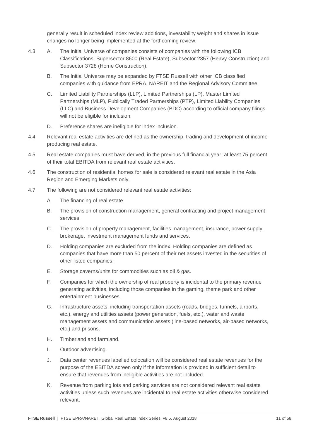generally result in scheduled index review additions, investability weight and shares in issue changes no longer being implemented at the forthcoming review.

- 4.3 A. The Initial Universe of companies consists of companies with the following ICB Classifications: Supersector 8600 (Real Estate), Subsector 2357 (Heavy Construction) and Subsector 3728 (Home Construction).
	- B. The Initial Universe may be expanded by FTSE Russell with other ICB classified companies with guidance from EPRA, NAREIT and the Regional Advisory Committee.
	- C. Limited Liability Partnerships (LLP), Limited Partnerships (LP), Master Limited Partnerships (MLP), Publically Traded Partnerships (PTP), Limited Liability Companies (LLC) and Business Development Companies (BDC) according to official company filings will not be eligible for inclusion.
	- D. Preference shares are ineligible for index inclusion.
- 4.4 Relevant real estate activities are defined as the ownership, trading and development of incomeproducing real estate.
- 4.5 Real estate companies must have derived, in the previous full financial year, at least 75 percent of their total EBITDA from relevant real estate activities.
- 4.6 The construction of residential homes for sale is considered relevant real estate in the Asia Region and Emerging Markets only.
- 4.7 The following are not considered relevant real estate activities:
	- A. The financing of real estate.
	- B. The provision of construction management, general contracting and project management services.
	- C. The provision of property management, facilities management, insurance, power supply, brokerage, investment management funds and services.
	- D. Holding companies are excluded from the index. Holding companies are defined as companies that have more than 50 percent of their net assets invested in the securities of other listed companies.
	- E. Storage caverns/units for commodities such as oil & gas.
	- F. Companies for which the ownership of real property is incidental to the primary revenue generating activities, including those companies in the gaming, theme park and other entertainment businesses.
	- G. Infrastructure assets, including transportation assets (roads, bridges, tunnels, airports, etc.), energy and utilities assets (power generation, fuels, etc.), water and waste management assets and communication assets (line-based networks, air-based networks, etc.) and prisons.
	- H. Timberland and farmland.
	- I. Outdoor advertising.
	- J. Data center revenues labelled colocation will be considered real estate revenues for the purpose of the EBITDA screen only if the information is provided in sufficient detail to ensure that revenues from ineligible activities are not included.
	- K. Revenue from parking lots and parking services are not considered relevant real estate activities unless such revenues are incidental to real estate activities otherwise considered relevant.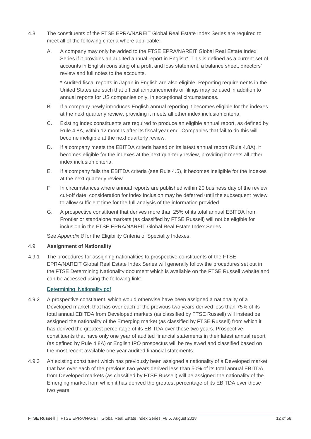- 4.8 The constituents of the FTSE EPRA/NAREIT Global Real Estate Index Series are required to meet all of the following criteria where applicable:
	- A. A company may only be added to the FTSE EPRA/NAREIT Global Real Estate Index Series if it provides an audited annual report in English\*. This is defined as a current set of accounts in English consisting of a profit and loss statement, a balance sheet, directors' review and full notes to the accounts.

\* Audited fiscal reports in Japan in English are also eligible. Reporting requirements in the United States are such that official announcements or filings may be used in addition to annual reports for US companies only, in exceptional circumstances.

- B. If a company newly introduces English annual reporting it becomes eligible for the indexes at the next quarterly review, providing it meets all other index inclusion criteria.
- C. Existing index constituents are required to produce an eligible annual report, as defined by Rule 4.8A, within 12 months after its fiscal year end. Companies that fail to do this will become ineligible at the next quarterly review.
- D. If a company meets the EBITDA criteria based on its latest annual report (Rule 4.8A), it becomes eligible for the indexes at the next quarterly review, providing it meets all other index inclusion criteria.
- E. If a company fails the EBITDA criteria (see Rule 4.5), it becomes ineligible for the indexes at the next quarterly review.
- F. In circumstances where annual reports are published within 20 business day of the review cut-off date, consideration for index inclusion may be deferred until the subsequent review to allow sufficient time for the full analysis of the information provided.
- G. A prospective constituent that derives more than 25% of its total annual EBITDA from Frontier or standalone markets (as classified by FTSE Russell) will not be eligible for inclusion in the FTSE EPRA/NAREIT Global Real Estate Index Series.

See *Appendix 8* for the Eligibility Criteria of Speciality Indexes.

#### 4.9 **Assignment of Nationality**

4.9.1 The procedures for assigning nationalities to prospective constituents of the FTSE EPRA/NAREIT Global Real Estate Index Series will generally follow the procedures set out in the FTSE Determining Nationality document which is available on the FTSE Russell website and can be accessed using the following link:

### [Determining\\_Nationality.pdf](http://www.ftse.com/products/downloads/Determining_Nationality.pdf)

- 4.9.2 A prospective constituent, which would otherwise have been assigned a nationality of a Developed market, that has over each of the previous two years derived less than 75% of its total annual EBITDA from Developed markets (as classified by FTSE Russell) will instead be assigned the nationality of the Emerging market (as classified by FTSE Russell) from which it has derived the greatest percentage of its EBITDA over those two years. Prospective constituents that have only one year of audited financial statements in their latest annual report (as defined by Rule 4.8A) or English IPO prospectus will be reviewed and classified based on the most recent available one year audited financial statements.
- 4.9.3 An existing constituent which has previously been assigned a nationality of a Developed market that has over each of the previous two years derived less than 50% of its total annual EBITDA from Developed markets (as classified by FTSE Russell) will be assigned the nationality of the Emerging market from which it has derived the greatest percentage of its EBITDA over those two years.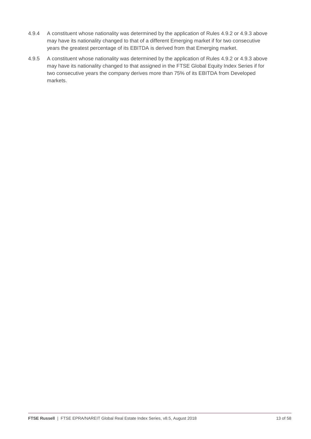- 4.9.4 A constituent whose nationality was determined by the application of Rules 4.9.2 or 4.9.3 above may have its nationality changed to that of a different Emerging market if for two consecutive years the greatest percentage of its EBITDA is derived from that Emerging market.
- 4.9.5 A constituent whose nationality was determined by the application of Rules 4.9.2 or 4.9.3 above may have its nationality changed to that assigned in the FTSE Global Equity Index Series if for two consecutive years the company derives more than 75% of its EBITDA from Developed markets.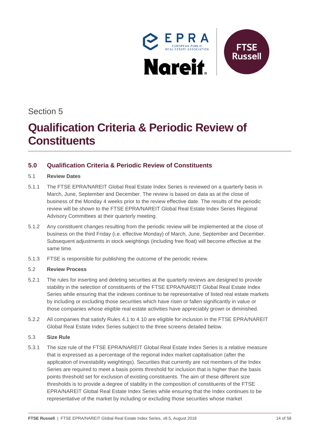

# Section 5

# *4B***Qualification Criteria & Periodic Review of Constituents**

## <span id="page-13-0"></span>**5.0 Qualification Criteria & Periodic Review of Constituents**

#### 5.1 **Review Dates**

- 5.1.1 The FTSE EPRA/NAREIT Global Real Estate Index Series is reviewed on a quarterly basis in March, June, September and December. The review is based on data as at the close of business of the Monday 4 weeks prior to the review effective date. The results of the periodic review will be shown to the FTSE EPRA/NAREIT Global Real Estate Index Series Regional Advisory Committees at their quarterly meeting.
- 5.1.2 Any constituent changes resulting from the periodic review will be implemented at the close of business on the third Friday (i.e. effective Monday) of March, June, September and December. Subsequent adjustments in stock weightings (including free float) will become effective at the same time.
- 5.1.3 FTSE is responsible for publishing the outcome of the periodic review.

### 5.2 **Review Process**

- 5.2.1 The rules for inserting and deleting securities at the quarterly reviews are designed to provide stability in the selection of constituents of the FTSE EPRA/NAREIT Global Real Estate Index Series while ensuring that the indexes continue to be representative of listed real estate markets by including or excluding those securities which have risen or fallen significantly in value or those companies whose eligible real estate activities have appreciably grown or diminished.
- 5.2.2 All companies that satisfy Rules 4.1 to 4.10 are eligible for inclusion in the FTSE EPRA/NAREIT Global Real Estate Index Series subject to the three screens detailed below.

### 5.3 **Size Rule**

5.3.1 The size rule of the FTSE EPRA/NAREIT Global Real Estate Index Series is a relative measure that is expressed as a percentage of the regional index market capitalisation (after the application of investability weightings). Securities that currently are not members of the Index Series are required to meet a basis points threshold for inclusion that is higher than the basis points threshold set for exclusion of existing constituents. The aim of these different size thresholds is to provide a degree of stability in the composition of constituents of the FTSE EPRA/NAREIT Global Real Estate Index Series while ensuring that the Index continues to be representative of the market by including or excluding those securities whose market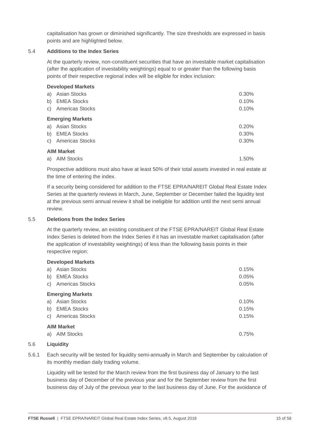capitalisation has grown or diminished significantly. The size thresholds are expressed in basis points and are highlighted below.

#### 5.4 **Additions to the Index Series**

At the quarterly review, non-constituent securities that have an investable market capitalisation (after the application of investability weightings) equal to or greater than the following basis points of their respective regional index will be eligible for index inclusion:

#### **Developed Markets**

| a) Asian Stocks         | $0.30\%$ |
|-------------------------|----------|
| b) EMEA Stocks          | 0.10%    |
| c) Americas Stocks      | 0.10%    |
| <b>Emerging Markets</b> |          |
| a) Asian Stocks         | 0.20%    |
| b) EMEA Stocks          | $0.30\%$ |
| c) Americas Stocks      | $0.30\%$ |
| <b>AIM Market</b>       |          |
| a) AIM Stocks           | 1.50%    |

Prospective additions must also have at least 50% of their total assets invested in real estate at the time of entering the index.

If a security being considered for addition to the FTSE EPRA/NAREIT Global Real Estate Index Series at the quarterly reviews in March, June, September or December failed the liquidity test at the previous semi annual review it shall be ineligible for addition until the next semi annual review.

#### 5.5 **Deletions from the Index Series**

At the quarterly review, an existing constituent of the FTSE EPRA/NAREIT Global Real Estate Index Series is deleted from the Index Series if it has an investable market capitalisation (after the application of investability weightings) of less than the following basis points in their respective region:

#### **Developed Markets**

| a) | Asian Stocks<br>b) EMEA Stocks<br>c) Americas Stocks | 0.15%<br>0.05%<br>0.05% |
|----|------------------------------------------------------|-------------------------|
|    | <b>Emerging Markets</b>                              |                         |
|    | a) Asian Stocks                                      | 0.10%                   |
|    | b) EMEA Stocks                                       | 0.15%                   |
|    | c) Americas Stocks                                   | 0.15%                   |
|    | <b>AIM Market</b>                                    |                         |
|    | a) AIM Stocks                                        | 0.75%                   |

#### 5.6 **Liquidity**

5.6.1 Each security will be tested for liquidity semi-annually in March and September by calculation of its monthly median daily trading volume.

Liquidity will be tested for the March review from the first business day of January to the last business day of December of the previous year and for the September review from the first business day of July of the previous year to the last business day of June. For the avoidance of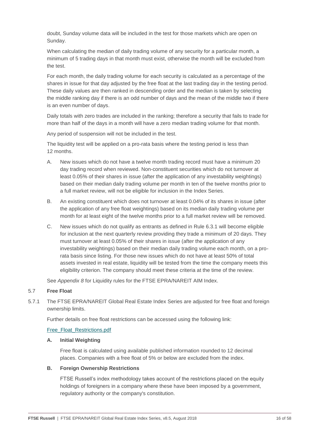doubt, Sunday volume data will be included in the test for those markets which are open on Sunday.

When calculating the median of daily trading volume of any security for a particular month, a minimum of 5 trading days in that month must exist, otherwise the month will be excluded from the test.

For each month, the daily trading volume for each security is calculated as a percentage of the shares in issue for that day adjusted by the free float at the last trading day in the testing period. These daily values are then ranked in descending order and the median is taken by selecting the middle ranking day if there is an odd number of days and the mean of the middle two if there is an even number of days.

Daily totals with zero trades are included in the ranking; therefore a security that fails to trade for more than half of the days in a month will have a zero median trading volume for that month.

Any period of suspension will not be included in the test.

The liquidity test will be applied on a pro-rata basis where the testing period is less than 12 months.

- A. New issues which do not have a twelve month trading record must have a minimum 20 day trading record when reviewed. Non-constituent securities which do not turnover at least 0.05% of their shares in issue (after the application of any investability weightings) based on their median daily trading volume per month in ten of the twelve months prior to a full market review, will not be eligible for inclusion in the Index Series.
- B. An existing constituent which does not turnover at least 0.04% of its shares in issue (after the application of any free float weightings) based on its median daily trading volume per month for at least eight of the twelve months prior to a full market review will be removed.
- C. New issues which do not qualify as entrants as defined in Rule 6.3.1 will become eligible for inclusion at the next quarterly review providing they trade a minimum of 20 days. They must turnover at least 0.05% of their shares in issue (after the application of any investability weightings) based on their median daily trading volume each month, on a prorata basis since listing. For those new issues which do not have at least 50% of total assets invested in real estate, liquidity will be tested from the time the company meets this eligibility criterion. The company should meet these criteria at the time of the review.

See *Appendix 8* for Liquidity rules for the FTSE EPRA/NAREIT AIM Index.

#### 5.7 **Free Float**

5.7.1 The FTSE EPRA/NAREIT Global Real Estate Index Series are adjusted for free float and foreign ownership limits.

Further details on free float restrictions can be accessed using the following link:

#### [Free\\_Float\\_Restrictions.pdf](http://www.ftse.com/products/downloads/Free_Float_Restrictions.pdf)

#### **A. Initial Weighting**

Free float is calculated using available published information rounded to 12 decimal places. Companies with a free float of 5% or below are excluded from the index.

### **B. Foreign Ownership Restrictions**

FTSE Russell's index methodology takes account of the restrictions placed on the equity holdings of foreigners in a company where these have been imposed by a government, regulatory authority or the company's constitution.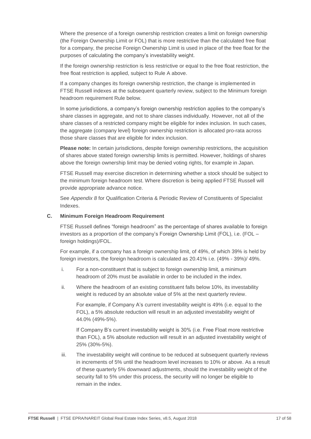Where the presence of a foreign ownership restriction creates a limit on foreign ownership (the Foreign Ownership Limit or FOL) that is more restrictive than the calculated free float for a company, the precise Foreign Ownership Limit is used in place of the free float for the purposes of calculating the company's investability weight.

If the foreign ownership restriction is less restrictive or equal to the free float restriction, the free float restriction is applied, subject to Rule A above.

If a company changes its foreign ownership restriction, the change is implemented in FTSE Russell indexes at the subsequent quarterly review, subject to the Minimum foreign headroom requirement Rule below.

In some jurisdictions, a company's foreign ownership restriction applies to the company's share classes in aggregate, and not to share classes individually. However, not all of the share classes of a restricted company might be eligible for index inclusion. In such cases, the aggregate (company level) foreign ownership restriction is allocated pro-rata across those share classes that are eligible for index inclusion.

**Please note:** In certain jurisdictions, despite foreign ownership restrictions, the acquisition of shares above stated foreign ownership limits is permitted. However, holdings of shares above the foreign ownership limit may be denied voting rights, for example in Japan.

FTSE Russell may exercise discretion in determining whether a stock should be subject to the minimum foreign headroom test. Where discretion is being applied FTSE Russell will provide appropriate advance notice.

See *Appendix 8* for Qualification Criteria & Periodic Review of Constituents of Specialist Indexes.

#### **C. Minimum Foreign Headroom Requirement**

FTSE Russell defines "foreign headroom" as the percentage of shares available to foreign investors as a proportion of the company's Foreign Ownership Limit (FOL), i.e. (FOL – foreign holdings)/FOL.

For example, if a company has a foreign ownership limit, of 49%, of which 39% is held by foreign investors, the foreign headroom is calculated as 20.41% i.e. (49% - 39%)/ 49%.

- i. For a non-constituent that is subject to foreign ownership limit, a minimum headroom of 20% must be available in order to be included in the index.
- ii. Where the headroom of an existing constituent falls below 10%, its investability weight is reduced by an absolute value of 5% at the next quarterly review.

For example, if Company A's current investability weight is 49% (i.e. equal to the FOL), a 5% absolute reduction will result in an adjusted investability weight of 44.0% (49%-5%).

If Company B's current investability weight is 30% (i.e. Free Float more restrictive than FOL), a 5% absolute reduction will result in an adjusted investability weight of 25% (30%-5%).

iii. The investability weight will continue to be reduced at subsequent quarterly reviews in increments of 5% until the headroom level increases to 10% or above. As a result of these quarterly 5% downward adjustments, should the investability weight of the security fall to 5% under this process, the security will no longer be eligible to remain in the index.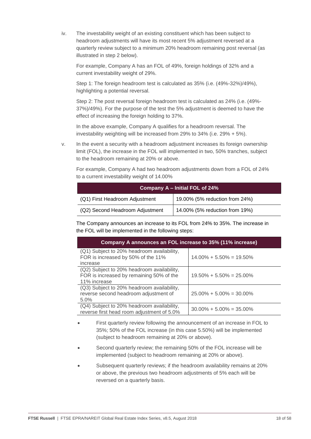iv. The investability weight of an existing constituent which has been subject to headroom adjustments will have its most recent 5% adjustment reversed at a quarterly review subject to a minimum 20% headroom remaining post reversal (as illustrated in step 2 below).

For example, Company A has an FOL of 49%, foreign holdings of 32% and a current investability weight of 29%.

Step 1: The foreign headroom test is calculated as 35% (i.e. (49%-32%)/49%), highlighting a potential reversal.

Step 2: The post reversal foreign headroom test is calculated as 24% (i.e. (49%- 37%)/49%). For the purpose of the test the 5% adjustment is deemed to have the effect of increasing the foreign holding to 37%.

In the above example, Company A qualifies for a headroom reversal. The investability weighting will be increased from 29% to 34% (i.e. 29% + 5%).

v. In the event a security with a headroom adjustment increases its foreign ownership limit (FOL), the increase in the FOL will implemented in two, 50% tranches, subject to the headroom remaining at 20% or above.

| Company A - Initial FOL of 24%  |                                |  |  |
|---------------------------------|--------------------------------|--|--|
| (Q1) First Headroom Adjustment  | 19.00% (5% reduction from 24%) |  |  |
| (Q2) Second Headroom Adjustment | 14.00% (5% reduction from 19%) |  |  |

For example, Company A had two headroom adjustments down from a FOL of 24% to a current investability weight of 14,00%

The Company announces an increase to its FOL from 24% to 35%. The increase in the FOL will be implemented in the following steps:

| Company A announces an FOL increase to 35% (11% increase)                                              |                              |  |  |
|--------------------------------------------------------------------------------------------------------|------------------------------|--|--|
| (Q1) Subject to 20% headroom availability,<br>FOR is increased by 50% of the 11%<br>increase           | $14.00\% + 5.50\% = 19.50\%$ |  |  |
| (Q2) Subject to 20% headroom availability,<br>FOR is increased by remaining 50% of the<br>11% increase | $19.50\% + 5.50\% = 25.00\%$ |  |  |
| (Q3) Subject to 20% headroom availability,<br>reverse second headroom adjustment of<br>5.0%            | $25.00\% + 5.00\% = 30.00\%$ |  |  |
| (Q4) Subject to 20% headroom availability,<br>reverse first head room adjustment of 5.0%               | $30.00\% + 5.00\% = 35.00\%$ |  |  |

- First quarterly review following the announcement of an increase in FOL to 35%; 50% of the FOL increase (in this case 5.50%) will be implemented (subject to headroom remaining at 20% or above).
- Second quarterly review; the remaining 50% of the FOL increase will be implemented (subject to headroom remaining at 20% or above).
- Subsequent quarterly reviews; if the headroom availability remains at 20% or above, the previous two headroom adjustments of 5% each will be reversed on a quarterly basis.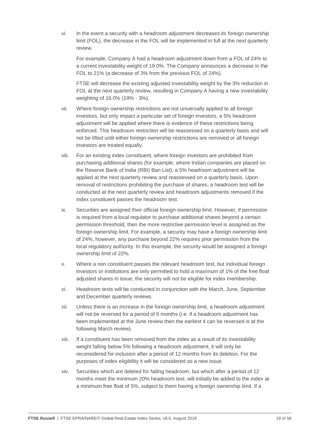vi. In the event a security with a headroom adjustment decreases its foreign ownership limit (FOL), the decrease in the FOL will be implemented in full at the next quarterly review.

For example, Company A had a headroom adjustment down from a FOL of 24% to a current investability weight of 19.0%. The Company announces a decrease in the FOL to 21% (a decrease of 3% from the previous FOL of 24%).

FTSE will decrease the existing adjusted investability weight by the 3% reduction in FOL at the next quarterly review, resulting in Company A having a new investability weighting of 16.0% (19% - 3%).

- vii. Where foreign ownership restrictions are not universally applied to all foreign investors, but only impact a particular set of foreign investors, a 5% headroom adjustment will be applied where there is evidence of these restrictions being enforced. This headroom restriction will be reassessed on a quarterly basis and will not be lifted until either foreign ownership restrictions are removed or all foreign investors are treated equally.
- viii. For an existing index constituent, where foreign investors are prohibited from purchasing additional shares (for example, where Indian companies are placed on the Reserve Bank of India (RBI) Ban List), a 5% headroom adjustment will be applied at the next quarterly review and reassessed on a quarterly basis. Upon removal of restrictions prohibiting the purchase of shares, a headroom test will be conducted at the next quarterly review and headroom adjustments removed if the index constituent passes the headroom test.
- ix. Securities are assigned their official foreign ownership limit. However, if permission is required from a local regulator to purchase additional shares beyond a certain permission threshold, then the more restrictive permission level is assigned as the foreign ownership limit. For example, a security may have a foreign ownership limit of 24%, however, any purchase beyond 22% requires prior permission from the local regulatory authority. In this example, the security would be assigned a foreign ownership limit of 22%.
- x. Where a non constituent passes the relevant headroom test, but individual foreign investors or institutions are only permitted to hold a maximum of 1% of the free float adjusted shares in issue, the security will not be eligible for index membership.
- xi. Headroom tests will be conducted in conjunction with the March, June, September and December quarterly reviews.
- xii. Unless there is an increase in the foreign ownership limit, a headroom adjustment will not be reversed for a period of 6 months (i.e. if a headroom adjustment has been implemented at the June review then the earliest it can be reversed is at the following March review).
- xiii. If a constituent has been removed from the index as a result of its investability weight falling below 5% following a headroom adjustment, it will only be reconsidered for inclusion after a period of 12 months from its deletion. For the purposes of index eligibility it will be considered as a new issue.
- xiv. Securities which are deleted for failing headroom, but which after a period of 12 months meet the minimum 20% headroom test, will initially be added to the index at a minimum free float of 5%, subject to them having a foreign ownership limit. If a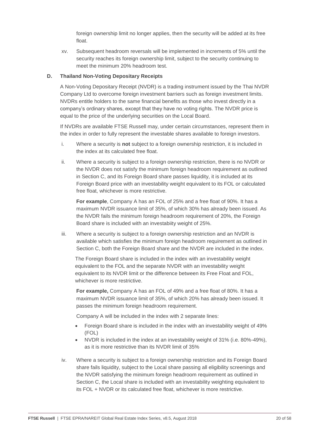foreign ownership limit no longer applies, then the security will be added at its free float.

xv. Subsequent headroom reversals will be implemented in increments of 5% until the security reaches its foreign ownership limit, subject to the security continuing to meet the minimum 20% headroom test.

#### **D. Thailand Non-Voting Depositary Receipts**

A Non-Voting Depositary Receipt (NVDR) is a trading instrument issued by the Thai NVDR Company Ltd to overcome foreign investment barriers such as foreign investment limits. NVDRs entitle holders to the same financial benefits as those who invest directly in a company's ordinary shares, except that they have no voting rights. The NVDR price is equal to the price of the underlying securities on the Local Board.

If NVDRs are available FTSE Russell may, under certain circumstances, represent them in the index in order to fully represent the investable shares available to foreign investors.

- i. Where a security is **not** subject to a foreign ownership restriction, it is included in the index at its calculated free float.
- ii. Where a security is subject to a foreign ownership restriction, there is no NVDR or the NVDR does not satisfy the minimum foreign headroom requirement as outlined in Section C, and its Foreign Board share passes liquidity, it is included at its Foreign Board price with an investability weight equivalent to its FOL or calculated free float, whichever is more restrictive.

**For example**, Company A has an FOL of 25% and a free float of 90%. It has a maximum NVDR issuance limit of 35%, of which 30% has already been issued. As the NVDR fails the minimum foreign headroom requirement of 20%, the Foreign Board share is included with an investabiity weight of 25%.

iii. Where a security is subject to a foreign ownership restriction and an NVDR is available which satisfies the minimum foreign headroom requirement as outlined in Section C, both the Foreign Board share and the NVDR are included in the index.

The Foreign Board share is included in the index with an investability weight equivalent to the FOL and the separate NVDR with an investability weight equivalent to its NVDR limit or the difference between its Free Float and FOL, whichever is more restrictive.

**For example,** Company A has an FOL of 49% and a free float of 80%. It has a maximum NVDR issuance limit of 35%, of which 20% has already been issued. It passes the minimum foreign headroom requirement.

Company A will be included in the index with 2 separate lines:

- Foreign Board share is included in the index with an investability weight of 49% (FOL)
- NVDR is included in the index at an investability weight of 31% (i.e. 80%-49%), as it is more restrictive than its NVDR limit of 35%
- iv. Where a security is subject to a foreign ownership restriction and its Foreign Board share fails liquidity, subject to the Local share passing all eligibility screenings and the NVDR satisfying the minimum foreign headroom requirement as outlined in Section C, the Local share is included with an investability weighting equivalent to its FOL + NVDR or its calculated free float, whichever is more restrictive.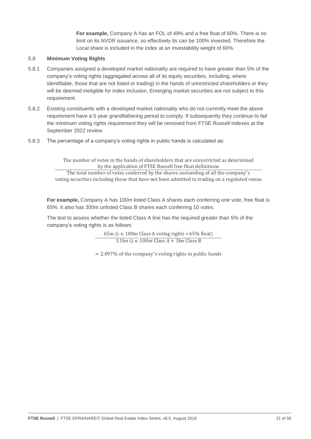**For example,** Company A has an FOL of 49% and a free float of 60%. There is no limit on its NVDR issuance, so effectively its can be 100% invested. Therefore the Local share is included in the index at an investability weight of 60%.

#### 5.8 **Minimum Voting Rights**

- 5.8.1 Companies assigned a developed market nationality are required to have greater than 5% of the company's voting rights (aggregated across all of its equity securities, including, where identifiable, those that are not listed or trading) in the hands of unrestricted shareholders or they will be deemed ineligible for index inclusion. Emerging market securities are not subject to this requirement.
- 5.8.2 Existing constituents with a developed market nationality who do not currently meet the above requirement have a 5 year grandfathering period to comply. If subsequently they continue to fail the minimum voting rights requirement they will be removed from FTSE Russell indexes at the September 2022 review.
- 5.8.3 The percentage of a company's voting rights in public hands is calculated as:

The number of votes in the hands of shareholders that are unrestricted as determined by the application of FTSE Russell free float definitions

The total number of votes conferred by the shares oustanding of all the company ′s voting securities including those that have not been admitted to trading on a regulated venue

**For example,** Company A has 100m listed Class A shares each conferring one vote, free float is 65%. It also has 300m unlisted Class B shares each conferring 10 votes.

The test to assess whether the listed Class A line has the required greater than 5% of the company's voting rights is as follows:

> 65m (i. e. 100m Class A voting rights ∗ 65% float)  $3.1$ bn (i. e.  $100$ m Class A +  $3$ bn Class B

= 2.097% of the company ′s voting rights in public hands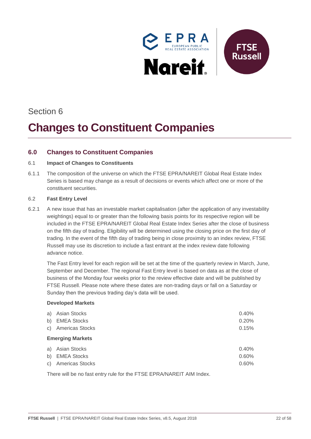

# Section 6

# **Changes to Constituent Companies**

# <span id="page-21-0"></span>**6.0 Changes to Constituent Companies**

#### 6.1 **Impact of Changes to Constituents**

6.1.1 The composition of the universe on which the FTSE EPRA/NAREIT Global Real Estate Index Series is based may change as a result of decisions or events which affect one or more of the constituent securities.

#### 6.2 **Fast Entry Level**

6.2.1 A new issue that has an investable market capitalisation (after the application of any investability weightings) equal to or greater than the following basis points for its respective region will be included in the FTSE EPRA/NAREIT Global Real Estate Index Series after the close of business on the fifth day of trading. Eligibility will be determined using the closing price on the first day of trading. In the event of the fifth day of trading being in close proximity to an index review, FTSE Russell may use its discretion to include a fast entrant at the index review date following advance notice.

The Fast Entry level for each region will be set at the time of the quarterly review in March, June, September and December. The regional Fast Entry level is based on data as at the close of business of the Monday four weeks prior to the review effective date and will be published by FTSE Russell. Please note where these dates are non-trading days or fall on a Saturday or Sunday then the previous trading day's data will be used.

#### **Developed Markets**

| a) Asian Stocks<br>b) EMEA Stocks<br>c) Americas Stocks | 0.40%<br>0.20%<br>0.15% |
|---------------------------------------------------------|-------------------------|
| <b>Emerging Markets</b>                                 |                         |
| a) Asian Stocks<br>b) EMEA Stocks<br>c) Americas Stocks | 0.40%<br>0.60%<br>0.60% |

There will be no fast entry rule for the FTSE EPRA/NAREIT AIM Index.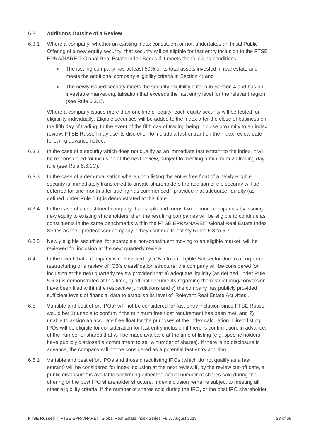#### 6.3 **Additions Outside of a Review**

- 6.3.1 Where a company, whether an existing index constituent or not, undertakes an Initial Public Offering of a new equity security, that security will be eligible for fast entry inclusion to the FTSE EPRA/NAREIT Global Real Estate Index Series if it meets the following conditions:
	- The issuing company has at least 50% of its total assets invested in real estate and meets the additional company eligibility criteria in Section 4; and
	- The newly issued security meets the security eligibility criteria in Section 4 and has an investable market capitalisation that exceeds the fast entry level for the relevant region (see Rule 6.2.1).

Where a company issues more than one line of equity, each equity security will be tested for eligibility individually. Eligible securities will be added to the index after the close of business on the fifth day of trading. In the event of the fifth day of trading being in close proximity to an index review, FTSE Russell may use its discretion to include a fast entrant on the index review date following advance notice.

- 6.3.2 In the case of a security which does not qualify as an immediate fast entrant to the index, it will be re-considered for inclusion at the next review, subject to meeting a minimum 20 trading day rule (see Rule 5.6.1C).
- 6.3.3 In the case of a demutualisation where upon listing the entire free float of a newly eligible security is immediately transferred to private shareholders the addition of the security will be deferred for one month after trading has commenced - provided that adequate liquidity (as defined under Rule 5.6) is demonstrated at this time.
- 6.3.4 In the case of a constituent company that is split and forms two or more companies by issuing new equity to existing shareholders, then the resulting companies will be eligible to continue as constituents in the same benchmarks within the FTSE EPRA/NAREIT Global Real Estate Index Series as their predecessor company if they continue to satisfy Rules 5.3 to 5.7.
- 6.3.5 Newly eligible securities, for example a non-constituent moving to an eligible market, will be reviewed for inclusion at the next quarterly review.
- 6.4 In the event that a company is reclassified by ICB into an eligible Subsector due to a corporate restructuring or a review of ICB's classification structure, the company will be considered for inclusion at the next quarterly review provided that a) adequate liquidity (as defined under Rule 5.6.2) is demonstrated at this time, b) official documents regarding the restructuring/conversion have been filed within the respective jurisdictions and c) the company has publicly provided sufficient levels of financial data to establish its level of 'Relevant Real Estate Activities'.
- 6.5 Variable and best effort IPOs\* will not be considered for fast entry inclusion since FTSE Russell would be: 1) unable to confirm if the minimum free float requirement has been met; and 2) unable to assign an accurate free float for the purposes of the index calculation. Direct listing IPOs will be eligible for consideration for fast entry inclusion if there is confirmation, in advance, of the number of shares that will be made available at the time of listing (e.g. specific holders have publicly disclosed a commitment to sell a number of shares). If there is no disclosure in advance, the company will not be considered as a potential fast entry addition.
- 6.5.1 Variable and best effort IPOs and those direct listing IPOs (which do not qualify as a fast entrant) will be considered for index inclusion at the next review if, by the review cut-off date, a public disclosure\* is available confirming either the actual number of shares sold during the offering or the post IPO shareholder structure. Index inclusion remains subject to meeting all other eligibility criteria. If the number of shares sold during the IPO, or the post IPO shareholder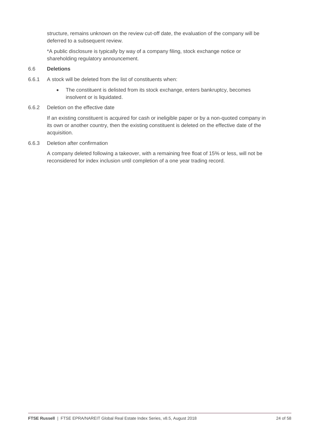structure, remains unknown on the review cut-off date, the evaluation of the company will be deferred to a subsequent review.

\*A public disclosure is typically by way of a company filing, stock exchange notice or shareholding regulatory announcement.

#### 6.6 **Deletions**

- 6.6.1 A stock will be deleted from the list of constituents when:
	- The constituent is delisted from its stock exchange, enters bankruptcy, becomes insolvent or is liquidated.
- 6.6.2 Deletion on the effective date

If an existing constituent is acquired for cash or ineligible paper or by a non-quoted company in its own or another country, then the existing constituent is deleted on the effective date of the acquisition.

6.6.3 Deletion after confirmation

A company deleted following a takeover, with a remaining free float of 15% or less, will not be reconsidered for index inclusion until completion of a one year trading record.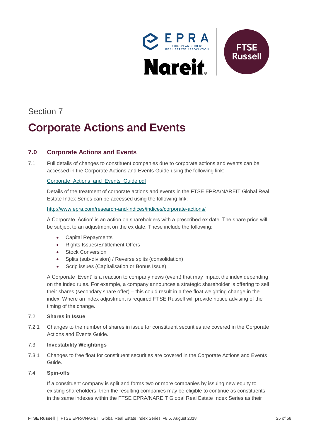

# Section 7

# *Corporate Actions and Events*

# <span id="page-24-0"></span>**7.0 Corporate Actions and Events**

7.1 Full details of changes to constituent companies due to corporate actions and events can be accessed in the Corporate Actions and Events Guide using the following link:

#### [Corporate\\_Actions\\_and\\_Events\\_Guide.pdf](http://www.ftse.com/products/downloads/Corporate_Actions_and_Events_Guide.pdf)

Details of the treatment of corporate actions and events in the FTSE EPRA/NAREIT Global Real Estate Index Series can be accessed using the following link:

#### <http://www.epra.com/research-and-indices/indices/corporate-actions/>

A Corporate 'Action' is an action on shareholders with a prescribed ex date. The share price will be subject to an adjustment on the ex date. These include the following:

- Capital Repayments
- Rights Issues/Entitlement Offers
- Stock Conversion
- Splits (sub-division) / Reverse splits (consolidation)
- Scrip issues (Capitalisation or Bonus Issue)

A Corporate 'Event' is a reaction to company news (event) that may impact the index depending on the index rules. For example, a company announces a strategic shareholder is offering to sell their shares (secondary share offer) – this could result in a free float weighting change in the index. Where an index adjustment is required FTSE Russell will provide notice advising of the timing of the change.

#### 7.2 **Shares in Issue**

7.2.1 Changes to the number of shares in issue for constituent securities are covered in the Corporate Actions and Events Guide.

#### 7.3 **Investability Weightings**

7.3.1 Changes to free float for constituent securities are covered in the Corporate Actions and Events Guide.

#### 7.4 **Spin-offs**

If a constituent company is split and forms two or more companies by issuing new equity to existing shareholders, then the resulting companies may be eligible to continue as constituents in the same indexes within the FTSE EPRA/NAREIT Global Real Estate Index Series as their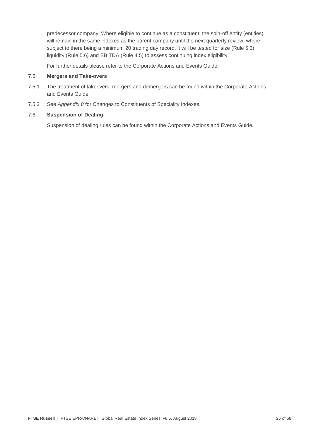predecessor company. Where eligible to continue as a constituent, the spin-off entity (entities) will remain in the same indexes as the parent company until the next quarterly review, where subject to there being a minimum 20 trading day record, it will be tested for size (Rule 5.3), liquidity (Rule 5.6) and EBITDA (Rule 4.5) to assess continuing index eligibility.

For further details please refer to the Corporate Actions and Events Guide.

#### 7.5 **Mergers and Take-overs**

- 7.5.1 The treatment of takeovers, mergers and demergers can be found within the Corporate Actions and Events Guide.
- 7.5.2 See *Appendix 8* for Changes to Constituents of Speciality Indexes.

#### 7.6 **Suspension of Dealing**

Suspension of dealing rules can be found within the Corporate Actions and Events Guide.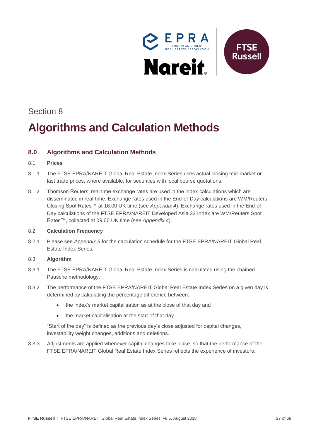

# Section 8

# *7B***Algorithms and Calculation Methods**

# <span id="page-26-0"></span>**8.0 Algorithms and Calculation Methods**

#### 8.1 **Prices**

- 8.1.1 The FTSE EPRA/NAREIT Global Real Estate Index Series uses actual closing mid-market or last trade prices, where available, for securities with local bourse quotations.
- 8.1.2 Thomson Reuters' real time exchange rates are used in the index calculations which are disseminated in real-time. Exchange rates used in the End-of-Day calculations are WM/Reuters Closing Spot Rates™ at 16:00 UK time (see *Appendix 4*). Exchange rates used in the End-of-Day calculations of the FTSE EPRA/NAREIT Developed Asia 33 Index are WM/Reuters Spot Rates™, collected at 09:00 UK time (see *Appendix 4*).

#### 8.2 **Calculation Frequency**

8.2.1 Please see *Appendix 5* for the calculation schedule for the FTSE EPRA/NAREIT Global Real Estate Index Series.

#### 8.3 **Algorithm**

- 8.3.1 The FTSE EPRA/NAREIT Global Real Estate Index Series is calculated using the chained Paasche methodology.
- 8.3.2 The performance of the FTSE EPRA/NAREIT Global Real Estate Index Series on a given day is determined by calculating the percentage difference between:
	- the index's market capitalisation as at the close of that day and
	- the market capitalisation at the start of that day

"Start of the day" is defined as the previous day's close adjusted for capital changes, investability weight changes, additions and deletions.

8.3.3 Adjustments are applied whenever capital changes take place, so that the performance of the FTSE EPRA/NAREIT Global Real Estate Index Series reflects the experience of investors.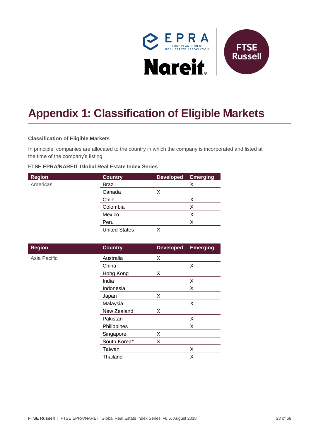

# <span id="page-27-0"></span>**Appendix 1: Classification of Eligible Markets**

#### **Classification of Eligible Markets**

In principle, companies are allocated to the country in which the company is incorporated and listed at the time of the company's listing.

#### **FTSE EPRA/NAREIT Global Real Estate Index Series**

| <b>Region</b> | <b>Country</b>       | <b>Developed</b> | <b>Emerging</b> |
|---------------|----------------------|------------------|-----------------|
| Americas      | <b>Brazil</b>        |                  | Х               |
|               | Canada               |                  |                 |
|               | Chile                |                  | х               |
|               | Colombia             |                  | Х               |
|               | Mexico               |                  | х               |
|               | Peru                 |                  | Χ               |
|               | <b>United States</b> | ↗                |                 |
|               |                      |                  |                 |

| <b>Region</b> | <b>Country</b> | <b>Developed</b> | <b>Emerging</b> |
|---------------|----------------|------------------|-----------------|
| Asia Pacific  | Australia      | X                |                 |
|               | China          |                  | X               |
|               | Hong Kong      | X                |                 |
|               | India          |                  | Χ               |
|               | Indonesia      |                  | X               |
|               | Japan          | X                |                 |
|               | Malaysia       |                  | X               |
|               | New Zealand    | X                |                 |
|               | Pakistan       |                  | Χ               |
|               | Philippines    |                  | X               |
|               | Singapore      | X                |                 |
|               | South Korea*   | X                |                 |
|               | Taiwan         |                  | Χ               |
|               | Thailand       |                  | Χ               |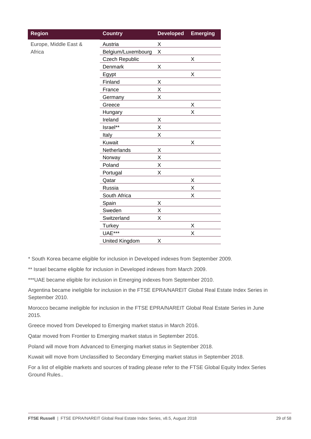| <b>Region</b>         | <b>Country</b>        | <b>Developed</b> | <b>Emerging</b> |
|-----------------------|-----------------------|------------------|-----------------|
| Europe, Middle East & | Austria               | X                |                 |
| Africa                | Belgium/Luxembourg    | Χ                |                 |
|                       | <b>Czech Republic</b> |                  | X               |
|                       | Denmark               | Χ                |                 |
|                       | Egypt                 |                  | Χ               |
|                       | Finland               | X                |                 |
|                       | France                | Χ                |                 |
|                       | Germany               | X                |                 |
|                       | Greece                |                  | Χ               |
|                       | Hungary               |                  | Χ               |
|                       | Ireland               | Χ                |                 |
|                       | Israel**              | Χ                |                 |
|                       | Italy                 | Χ                |                 |
|                       | Kuwait                |                  | Χ               |
|                       | Netherlands           | Χ                |                 |
|                       | Norway                | Χ                |                 |
|                       | Poland                | X                |                 |
|                       | Portugal              | Χ                |                 |
|                       | Qatar                 |                  | X               |
|                       | Russia                |                  | Χ               |
|                       | South Africa          |                  | X               |
|                       | Spain                 | X                |                 |
|                       | Sweden                | Χ                |                 |
|                       | Switzerland           | Χ                |                 |
|                       | <b>Turkey</b>         |                  | Χ               |
|                       | <b>UAE***</b>         |                  | X               |
|                       | <b>United Kingdom</b> | Χ                |                 |

\* South Korea became eligible for inclusion in Developed indexes from September 2009.

\*\* Israel became eligible for inclusion in Developed indexes from March 2009.

\*\*\*UAE became eligible for inclusion in Emerging indexes from September 2010.

Argentina became ineligible for inclusion in the FTSE EPRA/NAREIT Global Real Estate Index Series in September 2010.

Morocco became ineligible for inclusion in the FTSE EPRA/NAREIT Global Real Estate Series in June 2015.

Greece moved from Developed to Emerging market status in March 2016.

Qatar moved from Frontier to Emerging market status in September 2016.

Poland will move from Advanced to Emerging market status in September 2018.

Kuwait will move from Unclassified to Secondary Emerging market status in September 2018.

For a list of eligible markets and sources of trading please refer to the FTSE Global Equity Index Series Ground Rules..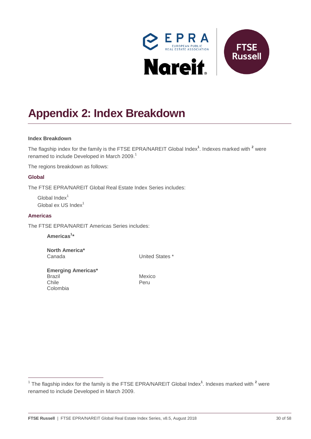

# <span id="page-29-0"></span>**Appendix 2: Index Breakdown**

#### **Index Breakdown**

The flagship index for the family is the FTSE EPRA/NAREIT Global Index<sup>1</sup>. Indexes marked with <sup>2</sup> were renamed to include Developed in March 2009.<sup>1</sup>

The regions breakdown as follows:

#### **Global**

The FTSE EPRA/NAREIT Global Real Estate Index Series includes:

Global Index<sup>1</sup> Global ex US Index $1$ 

#### **Americas**

 $\overline{a}$ 

The FTSE EPRA/NAREIT Americas Series includes:

**Americas<sup>1</sup> \***

Colombia

**North America\*** Canada United States \*

**Emerging Americas\*** Brazil Mexico Chile **Peru** 

<sup>&</sup>lt;sup>1</sup> The flagship index for the family is the FTSE EPRA/NAREIT Global Index<sup>1</sup>. Indexes marked with <sup>2</sup> were renamed to include Developed in March 2009.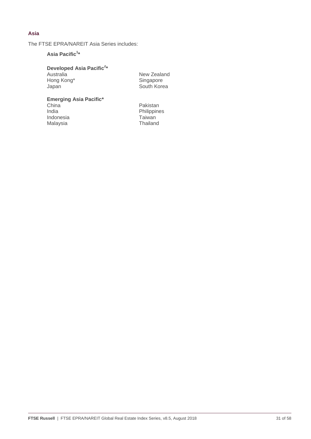### **Asia**

The FTSE EPRA/NAREIT Asia Series includes:

### **Asia Pacific<sup>1</sup> \***

**Developed Asia Pacific<sup>2</sup> \***

| Australia  |  |
|------------|--|
| Hong Kong* |  |
| Japan      |  |

New Zealand Singapore South Korea

## **Emerging Asia Pacific\***

China India Indonesia Malaysia

Pakistan Philippines Taiwan Thailand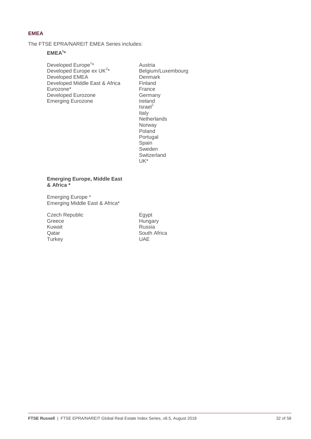### **EMEA**

The FTSE EPRA/NAREIT EMEA Series includes:

#### **EMEA<sup>1</sup> \***

Developed Europe<sup>2\*</sup> Developed Europe ex  $UK^{2*}$ Developed EMEA Developed Middle East & Africa Eurozone\* Developed Eurozone Emerging Eurozone

Austria Belgium/Luxembourg Denmark Finland France Germany Ireland  $Israel<sup>1</sup>$ Italy **Netherlands** Norway Poland Portugal **Spain** Sweden Switzerland UK\*

#### **Emerging Europe, Middle East & Africa \***

Emerging Europe \* Emerging Middle East & Africa\*

Czech Republic Greece Kuwait Qatar **Turkey** 

Egypt Hungary Russia South Africa UAE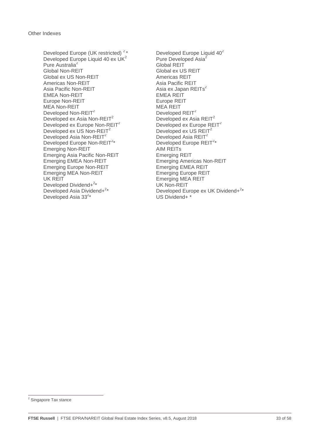Developed Europe (UK restricted)<sup>2</sup>\* Developed Europe Liquid  $40^2$ Developed Europe Liquid 40 ex UK<sup>2</sup> Pure Australia<sup>2</sup> Global REIT<br>Global Non-REIT Global ex U Global ex US Non-REIT Americas Non-REIT Asia Pacific REIT Asia Pacific Non-REIT  $\hbox{A}$ sia ex Japan REITs $^2$ EMEA Non-REIT FRAME CONTROLLER EMEA REIT Europe Non-REIT<br>
MEA Non-REIT

HEA NON-REIT

HEA REIT  $MEA$  Non-REIT<br>Developed Non-REIT<sup>2</sup> Developed REIT<sup>2</sup> Developed Non-REIT<sup>2</sup> Developed REIT<sup>2</sup><br>Developed ex Asia Non-REIT<sup>2</sup> Developed ex Asia REIT<sup>2</sup> Developed ex Asia Non-REIT<sup>2</sup> Developed ex Asia REIT<sup>2</sup><br>Developed ex Europe Non-REIT<sup>2</sup> Developed ex Europe REIT<sup>2</sup> Developed ex Europe Non-REIT<sup>2</sup> Developed ex Europe R<br>Developed ex US Non-REIT<sup>2</sup> Developed ex US REIT<sup>2</sup> Developed ex US Non-REIT<sup>2</sup> Developed ex US REIT<br>Developed Asia Non-REIT<sup>2</sup> Developed Asia REIT<sup>2</sup> Developed Asia Non-REIT $2$ Developed Europe Non-REIT<sup>2\*</sup> Emerging Non-REIT AIM REITS Emerging Asia Pacific Non-REIT Emerging REIT Emerging EMEA Non-REIT Emerging Americas Non-REIT<br>
Emerging EMEA REIT<br>
Emerging EMEA REIT Emerging Europe Non-REIT Emerging MEA Non-REIT Emerging Europe REIT UK REIT **Emerging MEA REIT** Developed Dividend+<sup>2\*</sup> Developed Asia Dividend+<sup>2\*</sup> Developed Asia  $33^{2*}$ 

Pure Developed Asia<sup>2</sup> Global ex US REIT<br>Americas REIT \* Developed Europe REIT<sup>2</sup>\* UK Non-REIT \* Developed Europe ex UK Dividend+<sup>2\*</sup> \* US Dividend+ \*

-

<sup>&</sup>lt;sup>2</sup> Singapore Tax stance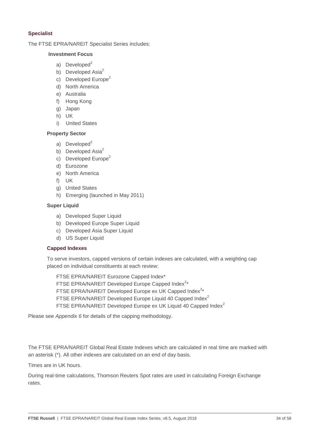### **Specialist**

#### The FTSE EPRA/NAREIT Specialist Series includes:

### **Investment Focus**

- a) Developed $2$
- b) Developed Asi $a^2$
- c) Developed Europe<sup>2</sup>
- d) North America
- e) Australia
- f) Hong Kong
- g) Japan
- h) UK
- i) United States

#### **Property Sector**

- a) Developed $2$
- b) Developed Asi $a^2$
- c) Developed Europe<sup>2</sup>
- d) Eurozone
- e) North America
- f) UK
- g) United States
- h) Emerging (launched in May 2011)

#### **Super Liquid**

- a) Developed Super Liquid
- b) Developed Europe Super Liquid
- c) Developed Asia Super Liquid
- d) US Super Liquid

#### **Capped Indexes**

To serve investors, capped versions of certain indexes are calculated, with a weighting cap placed on individual constituents at each review:

FTSE EPRA/NAREIT Eurozone Capped Index\* FTSE EPRA/NAREIT Developed Europe Capped Index $2*$ FTSE EPRA/NAREIT Developed Europe ex UK Capped Index $2*$ FTSE EPRA/NAREIT Developed Europe Liquid 40 Capped Index<sup>2</sup> FTSE EPRA/NAREIT Developed Europe ex UK Liquid 40 Capped Index<sup>2</sup>

Please see *Appendix 6* for details of the capping methodology.

The FTSE EPRA/NAREIT Global Real Estate Indexes which are calculated in real time are marked with an asterisk (\*). All other indexes are calculated on an end of day basis.

Times are in UK hours.

During real-time calculations, Thomson Reuters Spot rates are used in calculating Foreign Exchange rates.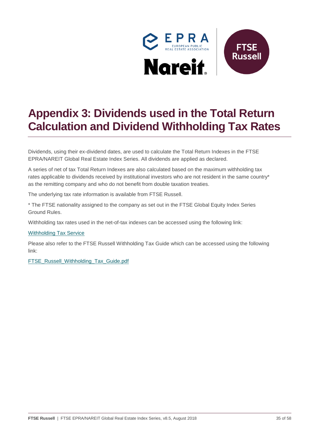

# <span id="page-34-0"></span>**Appendix 3: Dividends used in the Total Return Calculation and Dividend Withholding Tax Rates**

Dividends, using their ex-dividend dates, are used to calculate the Total Return Indexes in the FTSE EPRA/NAREIT Global Real Estate Index Series. All dividends are applied as declared.

A series of net of tax Total Return Indexes are also calculated based on the maximum withholding tax rates applicable to dividends received by institutional investors who are not resident in the same country\* as the remitting company and who do not benefit from double taxation treaties.

The underlying tax rate information is available from FTSE Russell.

\* The FTSE nationality assigned to the company as set out in the FTSE Global Equity Index Series Ground Rules.

Withholding tax rates used in the net-of-tax indexes can be accessed using the following link:

#### [Withholding Tax Service](http://www.ftse.com/products/indices/withholding-tax-service)

Please also refer to the FTSE Russell Withholding Tax Guide which can be accessed using the following link:

[FTSE\\_Russell\\_Withholding\\_Tax\\_Guide.pdf](http://www.ftse.com/products/downloads/FTSE_Russell_Withholding_Tax_Guide.pdf)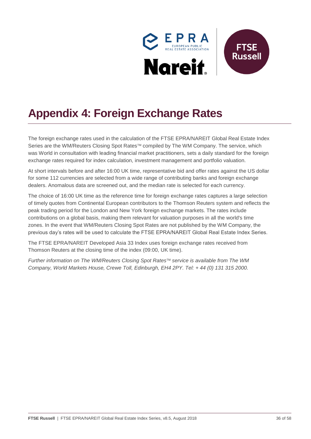

# <span id="page-35-0"></span>**Appendix 4: Foreign Exchange Rates**

The foreign exchange rates used in the calculation of the FTSE EPRA/NAREIT Global Real Estate Index Series are the WM/Reuters Closing Spot Rates™ compiled by The WM Company. The service, which was World in consultation with leading financial market practitioners, sets a daily standard for the foreign exchange rates required for index calculation, investment management and portfolio valuation.

At short intervals before and after 16:00 UK time, representative bid and offer rates against the US dollar for some 112 currencies are selected from a wide range of contributing banks and foreign exchange dealers. Anomalous data are screened out, and the median rate is selected for each currency.

The choice of 16:00 UK time as the reference time for foreign exchange rates captures a large selection of timely quotes from Continental European contributors to the Thomson Reuters system and reflects the peak trading period for the London and New York foreign exchange markets. The rates include contributions on a global basis, making them relevant for valuation purposes in all the world's time zones. In the event that WM/Reuters Closing Spot Rates are not published by the WM Company, the previous day's rates will be used to calculate the FTSE EPRA/NAREIT Global Real Estate Index Series.

The FTSE EPRA/NAREIT Developed Asia 33 Index uses foreign exchange rates received from Thomson Reuters at the closing time of the index (09:00, UK time).

*Further information on The WM/Reuters Closing Spot Rates service is available from The WM Company, World Markets House, Crewe Toll, Edinburgh, EH4 2PY. Tel: + 44 (0) 131 315 2000.*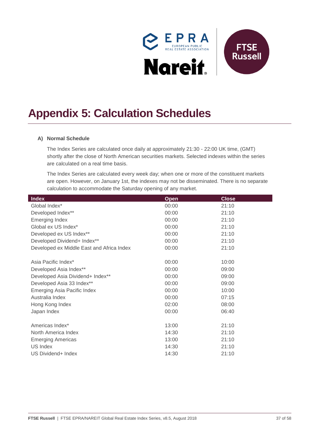

# <span id="page-36-0"></span>**Appendix 5: Calculation Schedules**

#### **A) Normal Schedule**

The Index Series are calculated once daily at approximately 21:30 - 22:00 UK time, (GMT) shortly after the close of North American securities markets. Selected indexes within the series are calculated on a real time basis.

The Index Series are calculated every week day; when one or more of the constituent markets are open. However, on January 1st, the indexes may not be disseminated. There is no separate calculation to accommodate the Saturday opening of any market.

| Index                                     | <b>Open</b> | <b>Close</b> |
|-------------------------------------------|-------------|--------------|
| Global Index*                             | 00:00       | 21:10        |
| Developed Index**                         | 00:00       | 21:10        |
| Emerging Index                            | 00:00       | 21:10        |
| Global ex US Index*                       | 00:00       | 21:10        |
| Developed ex US Index**                   | 00:00       | 21:10        |
| Developed Dividend+ Index**               | 00:00       | 21:10        |
| Developed ex Middle East and Africa Index | 00:00       | 21:10        |
|                                           |             |              |
| Asia Pacific Index*                       | 00:00       | 10:00        |
| Developed Asia Index**                    | 00:00       | 09:00        |
| Developed Asia Dividend+ Index**          | 00:00       | 09:00        |
| Developed Asia 33 Index**                 | 00:00       | 09:00        |
| Emerging Asia Pacific Index               | 00:00       | 10:00        |
| Australia Index                           | 00:00       | 07:15        |
| Hong Kong Index                           | 02:00       | 08:00        |
| Japan Index                               | 00:00       | 06:40        |
| Americas Index*                           | 13:00       | 21:10        |
|                                           |             |              |
| North America Index                       | 14:30       | 21:10        |
| <b>Emerging Americas</b>                  | 13:00       | 21:10        |
| US Index                                  | 14:30       | 21:10        |
| US Dividend+ Index                        | 14:30       | 21:10        |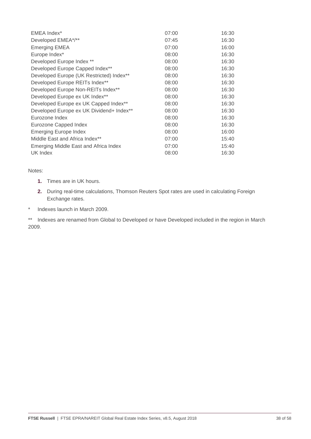| EMEA Index*                              | 07:00 | 16:30 |
|------------------------------------------|-------|-------|
| Developed EMEA*/**                       | 07:45 | 16:30 |
| <b>Emerging EMEA</b>                     | 07:00 | 16:00 |
| Europe Index*                            | 08:00 | 16:30 |
| Developed Europe Index **                | 08:00 | 16:30 |
| Developed Europe Capped Index**          | 08:00 | 16:30 |
| Developed Europe (UK Restricted) Index** | 08:00 | 16:30 |
| Developed Europe REITs Index**           | 08:00 | 16:30 |
| Developed Europe Non-REITs Index**       | 08:00 | 16:30 |
| Developed Europe ex UK Index**           | 08:00 | 16:30 |
| Developed Europe ex UK Capped Index**    | 08:00 | 16:30 |
| Developed Europe ex UK Dividend+ Index** | 08:00 | 16:30 |
| Eurozone Index                           | 08:00 | 16:30 |
| Eurozone Capped Index                    | 08:00 | 16:30 |
| Emerging Europe Index                    | 08:00 | 16:00 |
| Middle East and Africa Index**           | 07:00 | 15:40 |
| Emerging Middle East and Africa Index    | 07:00 | 15:40 |
| UK Index                                 | 08:00 | 16:30 |

#### Notes:

- **1.** Times are in UK hours.
- **2.** During real-time calculations, Thomson Reuters Spot rates are used in calculating Foreign Exchange rates.
- \* Indexes launch in March 2009.

\*\* Indexes are renamed from Global to Developed or have Developed included in the region in March 2009.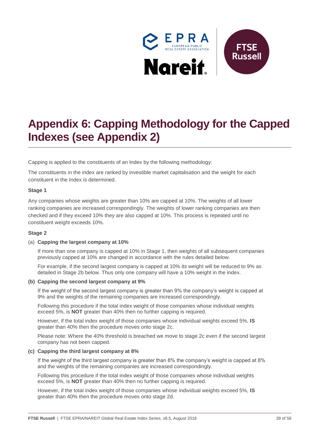

# <span id="page-38-0"></span>**Appendix 6: Capping Methodology for the Capped Indexes (see Appendix 2)**

Capping is applied to the constituents of an Index by the following methodology:

The constituents in the index are ranked by investible market capitalisation and the weight for each constituent in the Index is determined.

#### **Stage 1**

Any companies whose weights are greater than 10% are capped at 10%. The weights of all lower ranking companies are increased correspondingly. The weights of lower ranking companies are then checked and if they exceed 10% they are also capped at 10%. This process is repeated until no constituent weight exceeds 10%.

#### **Stage 2**

#### (a) **Capping the largest company at 10%**

If more than one company is capped at 10% in Stage 1, then weights of all subsequent companies previously capped at 10% are changed in accordance with the rules detailed below.

For example, if the second largest company is capped at 10% its weight will be reduced to 9% as detailed in Stage 2b below. Thus only one company will have a 10% weight in the index.

#### **(b) Capping the second largest company at 9%**

If the weight of the second largest company is greater than 9% the company's weight is capped at 9% and the weights of the remaining companies are increased correspondingly.

Following this procedure if the total index weight of those companies whose individual weights exceed 5%, is **NOT** greater than 40% then no further capping is required.

However, if the total index weight of those companies whose individual weights exceed 5%, **IS**  greater than 40% then the procedure moves onto stage 2c.

Please note: Where the 40% threshold is breached we move to stage 2c even if the second largest company has not been capped.

#### **(c) Capping the third largest company at 8%**

If the weight of the third largest company is greater than 8% the company's weight is capped at 8% and the weights of the remaining companies are increased correspondingly.

Following this procedure if the total index weight of those companies whose individual weights exceed 5%, is **NOT** greater than 40% then no further capping is required.

However, if the total index weight of those companies whose individual weights exceed 5%, **IS**  greater than 40% then the procedure moves onto stage 2d.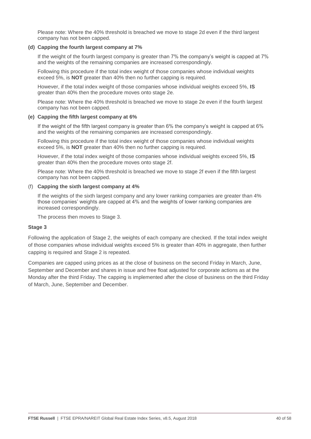Please note: Where the 40% threshold is breached we move to stage 2d even if the third largest company has not been capped.

#### **(d) Capping the fourth largest company at 7%**

If the weight of the fourth largest company is greater than 7% the company's weight is capped at 7% and the weights of the remaining companies are increased correspondingly.

Following this procedure if the total index weight of those companies whose individual weights exceed 5%, is **NOT** greater than 40% then no further capping is required.

However, if the total index weight of those companies whose individual weights exceed 5%, **IS**  greater than 40% then the procedure moves onto stage 2e.

Please note: Where the 40% threshold is breached we move to stage 2e even if the fourth largest company has not been capped.

#### **(e) Capping the fifth largest company at 6%**

If the weight of the fifth largest company is greater than 6% the company's weight is capped at 6% and the weights of the remaining companies are increased correspondingly.

Following this procedure if the total index weight of those companies whose individual weights exceed 5%, is **NOT** greater than 40% then no further capping is required.

However, if the total index weight of those companies whose individual weights exceed 5%, **IS**  greater than 40% then the procedure moves onto stage 2f.

Please note: Where the 40% threshold is breached we move to stage 2f even if the fifth largest company has not been capped.

#### (f) **Capping the sixth largest company at 4%**

If the weights of the sixth largest company and any lower ranking companies are greater than 4% those companies' weights are capped at 4% and the weights of lower ranking companies are increased correspondingly.

The process then moves to Stage 3.

#### **Stage 3**

Following the application of Stage 2, the weights of each company are checked. If the total index weight of those companies whose individual weights exceed 5% is greater than 40% in aggregate, then further capping is required and Stage 2 is repeated.

Companies are capped using prices as at the close of business on the second Friday in March, June, September and December and shares in issue and free float adjusted for corporate actions as at the Monday after the third Friday. The capping is implemented after the close of business on the third Friday of March, June, September and December.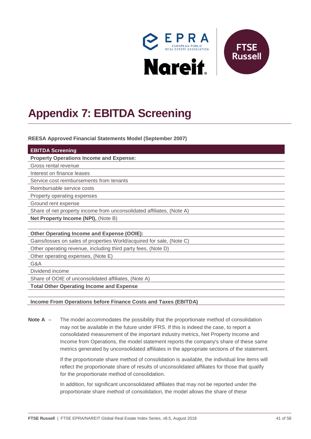

# <span id="page-40-0"></span>**Appendix 7: EBITDA Screening**

**REESA Approved Financial Statements Model (September 2007)**

| <b>EBITDA Screening</b>                                               |  |
|-----------------------------------------------------------------------|--|
| <b>Property Operations Income and Expense:</b>                        |  |
| Gross rental revenue                                                  |  |
| Interest on finance leases                                            |  |
| Service cost reimbursements from tenants                              |  |
| Reimbursable service costs                                            |  |
| Property operating expenses                                           |  |
| Ground rent expense                                                   |  |
| Share of net property income from unconsolidated affiliates, (Note A) |  |
| Net Property Income (NPI), (Note B)                                   |  |
|                                                                       |  |
| <b>Other Operating Income and Expense (OOIE):</b>                     |  |
| Gains/losses on sales of properties World/acquired for sale, (Note C) |  |
| Other operating revenue, including third party fees, (Note D)         |  |
| Other operating expenses, (Note E)                                    |  |
| G&A                                                                   |  |
| Dividend income                                                       |  |
| Share of OOIE of unconsolidated affiliates, (Note A)                  |  |
| <b>Total Other Operating Income and Expense</b>                       |  |

#### **Income From Operations before Finance Costs and Taxes (EBITDA)**

**Note A** – The model accommodates the possibility that the proportionate method of consolidation may not be available in the future under IFRS. If this is indeed the case, to report a consolidated measurement of the important industry metrics, Net Property Income and Income from Operations, the model statement reports the company's share of these same metrics generated by unconsolidated affiliates in the appropriate sections of the statement.

> If the proportionate share method of consolidation is available, the individual line items will reflect the proportionate share of results of unconsolidated affiliates for those that qualify for the proportionate method of consolidation.

In addition, for significant unconsolidated affiliates that may not be reported under the proportionate share method of consolidation, the model allows the share of these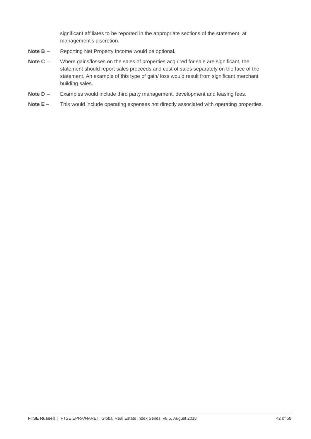significant affiliates to be reported in the appropriate sections of the statement, at management's discretion.

- **Note B** Reporting Net Property Income would be optional.
- **Note C** Where gains/losses on the sales of properties acquired for sale are significant, the statement should report sales proceeds and cost of sales separately on the face of the statement. An example of this type of gain/ loss would result from significant merchant building sales.
- **Note D** Examples would include third party management, development and leasing fees.
- **Note E** This would include operating expenses not directly associated with operating properties.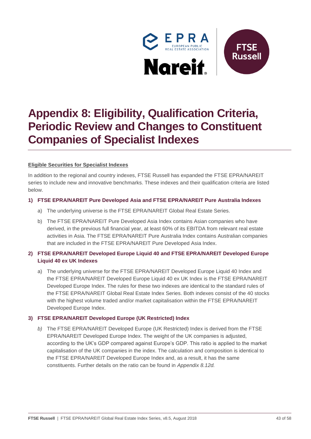

# <span id="page-42-0"></span>**Appendix 8: Eligibility, Qualification Criteria, Periodic Review and Changes to Constituent Companies of Specialist Indexes**

### **Eligible Securities for Specialist Indexes**

In addition to the regional and country indexes, FTSE Russell has expanded the FTSE EPRA/NAREIT series to include new and innovative benchmarks. These indexes and their qualification criteria are listed below.

#### **1) FTSE EPRA/NAREIT Pure Developed Asia and FTSE EPRA/NAREIT Pure Australia Indexes**

- a) The underlying universe is the FTSE EPRA/NAREIT Global Real Estate Series.
- b) The FTSE EPRA/NAREIT Pure Developed Asia Index contains Asian companies who have derived, in the previous full financial year, at least 60% of its EBITDA from relevant real estate activities in Asia. The FTSE EPRA/NAREIT Pure Australia Index contains Australian companies that are included in the FTSE EPRA/NAREIT Pure Developed Asia Index.

## **2) FTSE EPRA/NAREIT Developed Europe Liquid 40 and FTSE EPRA/NAREIT Developed Europe Liquid 40 ex UK Indexes**

a) The underlying universe for the FTSE EPRA/NAREIT Developed Europe Liquid 40 Index and the FTSE EPRA/NAREIT Developed Europe Liquid 40 ex UK Index is the FTSE EPRA/NAREIT Developed Europe Index. The rules for these two indexes are identical to the standard rules of the FTSE EPRA/NAREIT Global Real Estate Index Series. Both indexes consist of the 40 stocks with the highest volume traded and/or market capitalisation within the FTSE EPRA/NAREIT Developed Europe Index.

### **3) FTSE EPRA/NAREIT Developed Europe (UK Restricted) Index**

*b)* The FTSE EPRA/NAREIT Developed Europe (UK Restricted) Index is derived from the FTSE EPRA/NAREIT Developed Europe Index. The weight of the UK companies is adjusted, according to the UK's GDP compared against Europe's GDP. This ratio is applied to the market capitalisation of the UK companies in the index. The calculation and composition is identical to the FTSE EPRA/NAREIT Developed Europe Index and, as a result, it has the same constituents. Further details on the ratio can be found in *Appendix 8.12d.*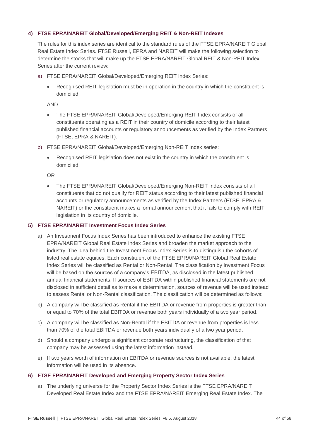### **4) FTSE EPRA/NAREIT Global/Developed/Emerging REIT & Non-REIT Indexes**

The rules for this index series are identical to the standard rules of the FTSE EPRA/NAREIT Global Real Estate Index Series. FTSE Russell, EPRA and NAREIT will make the following selection to determine the stocks that will make up the FTSE EPRA/NAREIT Global REIT & Non-REIT Index Series after the current review:

- a) FTSE EPRA/NAREIT Global/Developed/Emerging REIT Index Series:
	- Recognised REIT legislation must be in operation in the country in which the constituent is domiciled.

AND

- The FTSE EPRA/NAREIT Global/Developed/Emerging REIT Index consists of all constituents operating as a REIT in their country of domicile according to their latest published financial accounts or regulatory announcements as verified by the Index Partners (FTSE, EPRA & NAREIT).
- b) FTSE EPRA/NAREIT Global/Developed/Emerging Non-REIT Index series:
	- Recognised REIT legislation does not exist in the country in which the constituent is domiciled.

OR

 The FTSE EPRA/NAREIT Global/Developed/Emerging Non-REIT Index consists of all constituents that do not qualify for REIT status according to their latest published financial accounts or regulatory announcements as verified by the Index Partners (FTSE, EPRA & NAREIT) or the constituent makes a formal announcement that it fails to comply with REIT legislation in its country of domicile.

#### **5) FTSE EPRA/NAREIT Investment Focus Index Series**

- a) An Investment Focus Index Series has been introduced to enhance the existing FTSE EPRA/NAREIT Global Real Estate Index Series and broaden the market approach to the industry. The idea behind the Investment Focus Index Series is to distinguish the cohorts of listed real estate equities. Each constituent of the FTSE EPRA/NAREIT Global Real Estate Index Series will be classified as Rental or Non-Rental. The classification by Investment Focus will be based on the sources of a company's EBITDA, as disclosed in the latest published annual financial statements. If sources of EBITDA within published financial statements are not disclosed in sufficient detail as to make a determination, sources of revenue will be used instead to assess Rental or Non-Rental classification. The classification will be determined as follows:
- b) A company will be classified as Rental if the EBITDA or revenue from properties is greater than or equal to 70% of the total EBITDA or revenue both years individually of a two year period.
- c) A company will be classified as Non-Rental if the EBITDA or revenue from properties is less than 70% of the total EBITDA or revenue both years individually of a two year period.
- d) Should a company undergo a significant corporate restructuring, the classification of that company may be assessed using the latest information instead.
- e) If two years worth of information on EBITDA or revenue sources is not available, the latest information will be used in its absence.

#### **6) FTSE EPRA/NAREIT Developed and Emerging Property Sector Index Series**

a) The underlying universe for the Property Sector Index Series is the FTSE EPRA/NAREIT Developed Real Estate Index and the FTSE EPRA/NAREIT Emerging Real Estate Index. The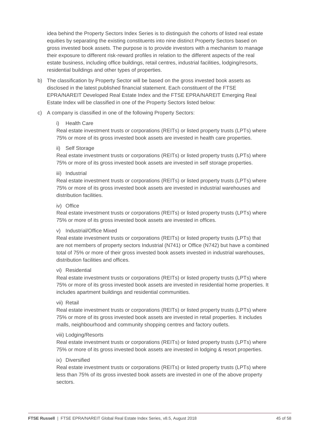idea behind the Property Sectors Index Series is to distinguish the cohorts of listed real estate equities by separating the existing constituents into nine distinct Property Sectors based on gross invested book assets. The purpose is to provide investors with a mechanism to manage their exposure to different risk-reward profiles in relation to the different aspects of the real estate business, including office buildings, retail centres, industrial facilities, lodging/resorts, residential buildings and other types of properties.

- b) The classification by Property Sector will be based on the gross invested book assets as disclosed in the latest published financial statement. Each constituent of the FTSE EPRA/NAREIT Developed Real Estate Index and the FTSE EPRA/NAREIT Emerging Real Estate Index will be classified in one of the Property Sectors listed below:
- c) A company is classified in one of the following Property Sectors:

#### i) Health Care

Real estate investment trusts or corporations (REITs) or listed property trusts (LPTs) where 75% or more of its gross invested book assets are invested in health care properties.

#### ii) Self Storage

Real estate investment trusts or corporations (REITs) or listed property trusts (LPTs) where 75% or more of its gross invested book assets are invested in self storage properties.

#### iii) Industrial

Real estate investment trusts or corporations (REITs) or listed property trusts (LPTs) where 75% or more of its gross invested book assets are invested in industrial warehouses and distribution facilities.

#### iv) Office

Real estate investment trusts or corporations (REITs) or listed property trusts (LPTs) where 75% or more of its gross invested book assets are invested in offices.

#### v) Industrial/Office Mixed

Real estate investment trusts or corporations (REITs) or listed property trusts (LPTs) that are not members of property sectors Industrial (N741) or Office (N742) but have a combined total of 75% or more of their gross invested book assets invested in industrial warehouses, distribution facilities and offices.

#### vi) Residential

Real estate investment trusts or corporations (REITs) or listed property trusts (LPTs) where 75% or more of its gross invested book assets are invested in residential home properties. It includes apartment buildings and residential communities.

#### vii) Retail

Real estate investment trusts or corporations (REITs) or listed property trusts (LPTs) where 75% or more of its gross invested book assets are invested in retail properties. It includes malls, neighbourhood and community shopping centres and factory outlets.

#### viii) Lodging/Resorts

Real estate investment trusts or corporations (REITs) or listed property trusts (LPTs) where 75% or more of its gross invested book assets are invested in lodging & resort properties.

#### ix) Diversified

Real estate investment trusts or corporations (REITs) or listed property trusts (LPTs) where less than 75% of its gross invested book assets are invested in one of the above property sectors.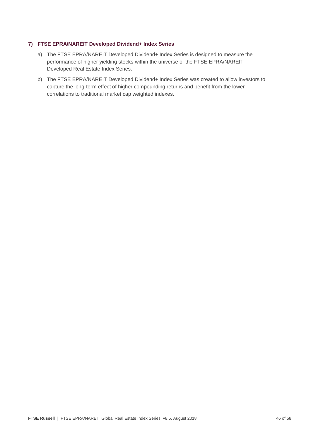#### **7) FTSE EPRA/NAREIT Developed Dividend+ Index Series**

- a) The FTSE EPRA/NAREIT Developed Dividend+ Index Series is designed to measure the performance of higher yielding stocks within the universe of the FTSE EPRA/NAREIT Developed Real Estate Index Series.
- b) The FTSE EPRA/NAREIT Developed Dividend+ Index Series was created to allow investors to capture the long-term effect of higher compounding returns and benefit from the lower correlations to traditional market cap weighted indexes.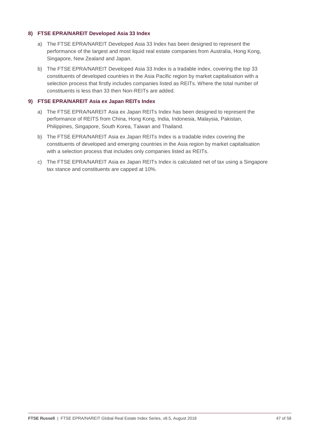#### **8) FTSE EPRA/NAREIT Developed Asia 33 Index**

- a) The FTSE EPRA/NAREIT Developed Asia 33 Index has been designed to represent the performance of the largest and most liquid real estate companies from Australia, Hong Kong, Singapore, New Zealand and Japan.
- b) The FTSE EPRA/NAREIT Developed Asia 33 Index is a tradable index, covering the top 33 constituents of developed countries in the Asia Pacific region by market capitalisation with a selection process that firstly includes companies listed as REITs. Where the total number of constituents is less than 33 then Non-REITs are added.

#### **9) FTSE EPRA/NAREIT Asia ex Japan REITs Index**

- a) The FTSE EPRA/NAREIT Asia ex Japan REITs Index has been designed to represent the performance of REITS from China, Hong Kong, India, Indonesia, Malaysia, Pakistan, Philippines, Singapore, South Korea, Taiwan and Thailand.
- b) The FTSE EPRA/NAREIT Asia ex Japan REITs Index is a tradable index covering the constituents of developed and emerging countries in the Asia region by market capitalisation with a selection process that includes only companies listed as REITs.
- c) The FTSE EPRA/NAREIT Asia ex Japan REITs Index is calculated net of tax using a Singapore tax stance and constituents are capped at 10%.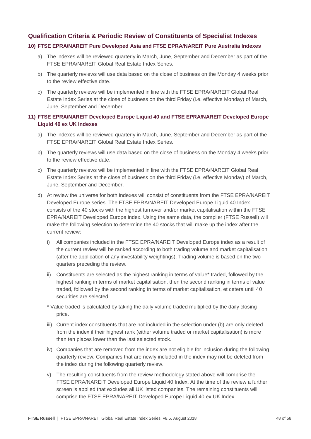## **Qualification Criteria & Periodic Review of Constituents of Specialist Indexes**

### **10) FTSE EPRA/NAREIT Pure Developed Asia and FTSE EPRA/NAREIT Pure Australia Indexes**

- a) The indexes will be reviewed quarterly in March, June, September and December as part of the FTSE EPRA/NAREIT Global Real Estate Index Series.
- b) The quarterly reviews will use data based on the close of business on the Monday 4 weeks prior to the review effective date.
- c) The quarterly reviews will be implemented in line with the FTSE EPRA/NAREIT Global Real Estate Index Series at the close of business on the third Friday (i.e. effective Monday) of March, June, September and December.

#### **11) FTSE EPRA/NAREIT Developed Europe Liquid 40 and FTSE EPRA/NAREIT Developed Europe Liquid 40 ex UK Indexes**

- a) The indexes will be reviewed quarterly in March, June, September and December as part of the FTSE EPRA/NAREIT Global Real Estate Index Series.
- b) The quarterly reviews will use data based on the close of business on the Monday 4 weeks prior to the review effective date.
- c) The quarterly reviews will be implemented in line with the FTSE EPRA/NAREIT Global Real Estate Index Series at the close of business on the third Friday (i.e. effective Monday) of March, June, September and December.
- d) At review the universe for both indexes will consist of constituents from the FTSE EPRA/NAREIT Developed Europe series. The FTSE EPRA/NAREIT Developed Europe Liquid 40 Index consists of the 40 stocks with the highest turnover and/or market capitalisation within the FTSE EPRA/NAREIT Developed Europe index. Using the same data, the compiler (FTSE Russell) will make the following selection to determine the 40 stocks that will make up the index after the current review:
	- i) All companies included in the FTSE EPRA/NAREIT Developed Europe index as a result of the current review will be ranked according to both trading volume and market capitalisation (after the application of any investability weightings). Trading volume is based on the two quarters preceding the review.
	- ii) Constituents are selected as the highest ranking in terms of value\* traded, followed by the highest ranking in terms of market capitalisation, then the second ranking in terms of value traded, followed by the second ranking in terms of market capitalisation, et cetera until 40 securities are selected.
	- \* Value traded is calculated by taking the daily volume traded multiplied by the daily closing price.
	- iii) Current index constituents that are not included in the selection under (b) are only deleted from the index if their highest rank (either volume traded or market capitalisation) is more than ten places lower than the last selected stock.
	- iv) Companies that are removed from the index are not eligible for inclusion during the following quarterly review. Companies that are newly included in the index may not be deleted from the index during the following quarterly review.
	- v) The resulting constituents from the review methodology stated above will comprise the FTSE EPRA/NAREIT Developed Europe Liquid 40 Index. At the time of the review a further screen is applied that excludes all UK listed companies. The remaining constituents will comprise the FTSE EPRA/NAREIT Developed Europe Liquid 40 ex UK Index.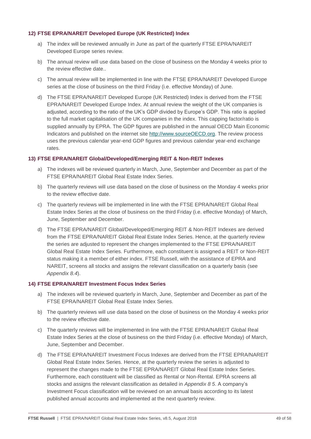#### **12) FTSE EPRA/NAREIT Developed Europe (UK Restricted) Index**

- a) The index will be reviewed annually in June as part of the quarterly FTSE EPRA/NAREIT Developed Europe series review.
- b) The annual review will use data based on the close of business on the Monday 4 weeks prior to the review effective date..
- c) The annual review will be implemented in line with the FTSE EPRA/NAREIT Developed Europe series at the close of business on the third Friday (i.e. effective Monday) of June.
- d) The FTSE EPRA/NAREIT Developed Europe (UK Restricted) Index is derived from the FTSE EPRA/NAREIT Developed Europe Index. At annual review the weight of the UK companies is adjusted, according to the ratio of the UK's GDP divided by Europe's GDP. This ratio is applied to the full market capitalisation of the UK companies in the index. This capping factor/ratio is supplied annually by EPRA. The GDP figures are published in the annual OECD Main Economic Indicators and published on the internet site [http://www.sourceOECD.org.](http://www.sourceoecd.org/) The review process uses the previous calendar year-end GDP figures and previous calendar year-end exchange rates.

#### **13) FTSE EPRA/NAREIT Global/Developed/Emerging REIT & Non-REIT Indexes**

- a) The indexes will be reviewed quarterly in March, June, September and December as part of the FTSE EPRA/NAREIT Global Real Estate Index Series.
- b) The quarterly reviews will use data based on the close of business on the Monday 4 weeks prior to the review effective date.
- c) The quarterly reviews will be implemented in line with the FTSE EPRA/NAREIT Global Real Estate Index Series at the close of business on the third Friday (i.e. effective Monday) of March, June, September and December.
- d) The FTSE EPRA/NAREIT Global/Developed/Emerging REIT & Non-REIT Indexes are derived from the FTSE EPRA/NAREIT Global Real Estate Index Series. Hence, at the quarterly review the series are adjusted to represent the changes implemented to the FTSE EPRA/NAREIT Global Real Estate Index Series. Furthermore, each constituent is assigned a REIT or Non-REIT status making it a member of either index. FTSE Russell, with the assistance of EPRA and NAREIT, screens all stocks and assigns the relevant classification on a quarterly basis (see *Appendix 8.4*).

#### **14) FTSE EPRA/NAREIT Investment Focus Index Series**

- a) The indexes will be reviewed quarterly in March, June, September and December as part of the FTSE EPRA/NAREIT Global Real Estate Index Series.
- b) The quarterly reviews will use data based on the close of business on the Monday 4 weeks prior to the review effective date.
- c) The quarterly reviews will be implemented in line with the FTSE EPRA/NAREIT Global Real Estate Index Series at the close of business on the third Friday (i.e. effective Monday) of March, June, September and December.
- d) The FTSE EPRA/NAREIT Investment Focus Indexes are derived from the FTSE EPRA/NAREIT Global Real Estate Index Series. Hence, at the quarterly review the series is adjusted to represent the changes made to the FTSE EPRA/NAREIT Global Real Estate Index Series. Furthermore, each constituent will be classified as Rental or Non-Rental. EPRA screens all stocks and assigns the relevant classification as detailed in *Appendix 8 5*. A company's Investment Focus classification will be reviewed on an annual basis according to its latest published annual accounts and implemented at the next quarterly review.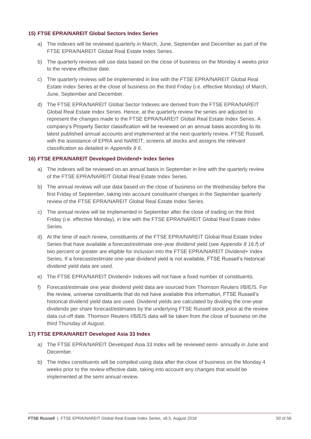#### **15) FTSE EPRA/NAREIT Global Sectors Index Series**

- a) The indexes will be reviewed quarterly in March, June, September and December as part of the FTSE EPRA/NAREIT Global Real Estate Index Series.
- b) The quarterly reviews will use data based on the close of business on the Monday 4 weeks prior to the review effective date.
- c) The quarterly reviews will be implemented in line with the FTSE EPRA/NAREIT Global Real Estate Index Series at the close of business on the third Friday (i.e. effective Monday) of March, June, September and December.
- d) The FTSE EPRA/NAREIT Global Sector Indexes are derived from the FTSE EPRA/NAREIT Global Real Estate Index Series. Hence, at the quarterly review the series are adjusted to represent the changes made to the FTSE EPRA/NAREIT Global Real Estate Index Series. A company's Property Sector classification will be reviewed on an annual basis according to its latest published annual accounts and implemented at the next quarterly review. FTSE Russell, with the assistance of EPRA and NAREIT, screens all stocks and assigns the relevant classification as detailed in *Appendix 8 6*.

#### **16) FTSE EPRA/NAREIT Developed Dividend+ Index Series**

- a) The indexes will be reviewed on an annual basis in September in line with the quarterly review of the FTSE EPRA/NAREIT Global Real Estate Index Series.
- b) The annual reviews will use data based on the close of business on the Wednesday before the first Friday of September, taking into account constituent changes in the September quarterly review of the FTSE EPRA/NAREIT Global Real Estate Index Series.
- c) The annual review will be implemented in September after the close of trading on the third Friday (i.e. effective Monday), in line with the FTSE EPRA/NAREIT Global Real Estate Index Series.
- d) At the time of each review, constituents of the FTSE EPRA/NAREIT Global Real Estate Index Series that have available a forecast/estimate one-year dividend yield (see *Appendix 8 16.f*) of two percent or greater are eligible for inclusion into the FTSE EPRA/NAREIT Dividend+ Index Series. If a forecast/estimate one-year dividend yield is not available, FTSE Russell's historical dividend yield data are used.
- e) The FTSE EPRA/NAREIT Dividend+ Indexes will not have a fixed number of constituents.
- f) Forecast/estimate one year dividend yield data are sourced from Thomson Reuters I/B/E/S. For the review, universe constituents that do not have available this information, FTSE Russell's historical dividend yield data are used. Dividend yields are calculated by dividing the one-year dividends per share forecast/estimates by the underlying FTSE Russell stock price at the review data cut-off date. Thomson Reuters I/B/E/S data will be taken from the close of business on the third Thursday of August.

#### **17) FTSE EPRA/NAREIT Developed Asia 33 Index**

- a) The FTSE EPRA/NAREIT Developed Asia 33 Index will be reviewed semi- annually in June and December.
- b) The Index constituents will be compiled using data after the close of business on the Monday 4 weeks prior to the review effective date, taking into account any changes that would be implemented at the semi annual review.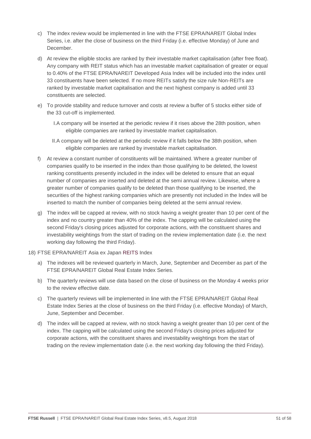- c) The index review would be implemented in line with the FTSE EPRA/NAREIT Global Index Series, i.e. after the close of business on the third Friday (i.e. effective Monday) of June and December.
- d) At review the eligible stocks are ranked by their investable market capitalisation (after free float). Any company with REIT status which has an investable market capitalisation of greater or equal to 0.40% of the FTSE EPRA/NAREIT Developed Asia Index will be included into the index until 33 constituents have been selected. If no more REITs satisfy the size rule Non-REITs are ranked by investable market capitalisation and the next highest company is added until 33 constituents are selected.
- e) To provide stability and reduce turnover and costs at review a buffer of 5 stocks either side of the 33 cut-off is implemented.
	- I.A company will be inserted at the periodic review if it rises above the 28th position, when eligible companies are ranked by investable market capitalisation.
	- II.A company will be deleted at the periodic review if it falls below the 38th position, when eligible companies are ranked by investable market capitalisation.
- f) At review a constant number of constituents will be maintained. Where a greater number of companies qualify to be inserted in the index than those qualifying to be deleted, the lowest ranking constituents presently included in the index will be deleted to ensure that an equal number of companies are inserted and deleted at the semi annual review. Likewise, where a greater number of companies qualify to be deleted than those qualifying to be inserted, the securities of the highest ranking companies which are presently not included in the Index will be inserted to match the number of companies being deleted at the semi annual review.
- g) The index will be capped at review, with no stock having a weight greater than 10 per cent of the index and no country greater than 40% of the index. The capping will be calculated using the second Friday's closing prices adjusted for corporate actions, with the constituent shares and investability weightings from the start of trading on the review implementation date (i.e. the next working day following the third Friday).
- 18) FTSE EPRA/NAREIT Asia ex Japan REITS Index
	- a) The indexes will be reviewed quarterly in March, June, September and December as part of the FTSE EPRA/NAREIT Global Real Estate Index Series.
	- b) The quarterly reviews will use data based on the close of business on the Monday 4 weeks prior to the review effective date.
	- c) The quarterly reviews will be implemented in line with the FTSE EPRA/NAREIT Global Real Estate Index Series at the close of business on the third Friday (i.e. effective Monday) of March, June, September and December.
	- d) The index will be capped at review, with no stock having a weight greater than 10 per cent of the index. The capping will be calculated using the second Friday's closing prices adjusted for corporate actions, with the constituent shares and investability weightings from the start of trading on the review implementation date (i.e. the next working day following the third Friday).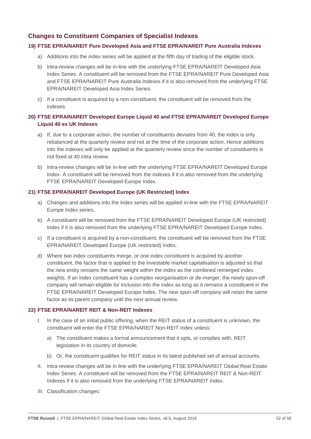## **Changes to Constituent Companies of Specialist Indexes**

#### **19) FTSE EPRA/NAREIT Pure Developed Asia and FTSE EPRA/NAREIT Pure Australia Indexes**

- a) Additions into the index series will be applied at the fifth day of trading of the eligible stock.
- b) Intra-review changes will be in-line with the underlying FTSE EPRA/NAREIT Developed Asia Index Series. A constituent will be removed from the FTSE EPRA/NAREIT Pure Developed Asia and FTSE EPRA/NAREIT Pure Australia Indexes if it is also removed from the underlying FTSE EPRA/NAREIT Developed Asia Index Series.
- c) If a constituent is acquired by a non-constituent, the constituent will be removed from the indexes.

#### **20) FTSE EPRA/NAREIT Developed Europe Liquid 40 and FTSE EPRA/NAREIT Developed Europe Liquid 40 ex UK Indexes**

- a) If, due to a corporate action, the number of constituents deviates from 40, the index is only rebalanced at the quarterly review and not at the time of the corporate action. Hence additions into the indexes will only be applied at the quarterly review since the number of constituents is not fixed at 40 intra review.
- b) Intra-review changes will be in-line with the underlying FTSE EPRA/NAREIT Developed Europe Index. A constituent will be removed from the indexes if it is also removed from the underlying FTSE EPRA/NAREIT Developed Europe Index.

#### **21) FTSE EPRA/NAREIT Developed Europe (UK Restricted) Index**

- a) Changes and additions into the index series will be applied in-line with the FTSE EPRA/NAREIT Europe Index series.
- b) A constituent will be removed from the FTSE EPRA/NAREIT Developed Europe (UK restricted) Index if it is also removed from the underlying FTSE EPRA/NAREIT Developed Europe Index.
- c) If a constituent is acquired by a non-constituent, the constituent will be removed from the FTSE EPRA/NAREIT Developed Europe (UK restricted) Index.
- d) Where two index constituents merge, or one index constituent is acquired by another constituent, the factor that is applied to the investable market capitalisation is adjusted so that the new entity remains the same weight within the index as the combined remerged index weights. If an index constituent has a complex reorganisation or de-merger, the newly spun-off company will remain eligible for inclusion into the index as long as it remains a constituent in the FTSE EPRA/NAREIT Developed Europe Index. The new spun-off company will retain the same factor as its parent company until the next annual review.

#### **22) FTSE EPRA/NAREIT REIT & Non-REIT Indexes**

- I. In the case of an initial public offering, when the REIT status of a constituent is unknown, the constituent will enter the FTSE EPRA/NAREIT Non-REIT Index unless:
	- a) The constituent makes a formal announcement that it opts, or complies with, REIT legislation in its country of domicile.
	- b) Or, the constituent qualifies for REIT status in its latest published set of annual accounts.
- II. Intra-review changes will be in line with the underlying FTSE EPRA/NAREIT Global Real Estate Index Series. A constituent will be removed from the FTSE EPRA/NAREIT REIT & Non-REIT Indexes if it is also removed from the underlying FTSE EPRA/NAREIT Index.
- III. Classification changes: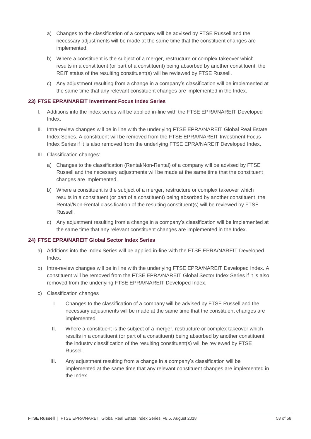- a) Changes to the classification of a company will be advised by FTSE Russell and the necessary adjustments will be made at the same time that the constituent changes are implemented.
- b) Where a constituent is the subject of a merger, restructure or complex takeover which results in a constituent (or part of a constituent) being absorbed by another constituent, the REIT status of the resulting constituent(s) will be reviewed by FTSE Russell.
- c) Any adjustment resulting from a change in a company's classification will be implemented at the same time that any relevant constituent changes are implemented in the Index.

#### **23) FTSE EPRA/NAREIT Investment Focus Index Series**

- I. Additions into the index series will be applied in-line with the FTSE EPRA/NAREIT Developed Index.
- II. Intra-review changes will be in line with the underlying FTSE EPRA/NAREIT Global Real Estate Index Series. A constituent will be removed from the FTSE EPRA/NAREIT Investment Focus Index Series if it is also removed from the underlying FTSE EPRA/NAREIT Developed Index.
- III. Classification changes:
	- a) Changes to the classification (Rental/Non-Rental) of a company will be advised by FTSE Russell and the necessary adjustments will be made at the same time that the constituent changes are implemented.
	- b) Where a constituent is the subject of a merger, restructure or complex takeover which results in a constituent (or part of a constituent) being absorbed by another constituent, the Rental/Non-Rental classification of the resulting constituent(s) will be reviewed by FTSE Russell.
	- c) Any adjustment resulting from a change in a company's classification will be implemented at the same time that any relevant constituent changes are implemented in the Index.

#### **24) FTSE EPRA/NAREIT Global Sector Index Series**

- a) Additions into the Index Series will be applied in-line with the FTSE EPRA/NAREIT Developed Index.
- b) Intra-review changes will be in line with the underlying FTSE EPRA/NAREIT Developed Index. A constituent will be removed from the FTSE EPRA/NAREIT Global Sector Index Series if it is also removed from the underlying FTSE EPRA/NAREIT Developed Index.
- c) Classification changes
	- I. Changes to the classification of a company will be advised by FTSE Russell and the necessary adjustments will be made at the same time that the constituent changes are implemented.
	- II. Where a constituent is the subject of a merger, restructure or complex takeover which results in a constituent (or part of a constituent) being absorbed by another constituent, the industry classification of the resulting constituent(s) will be reviewed by FTSE Russell.
	- III. Any adjustment resulting from a change in a company's classification will be implemented at the same time that any relevant constituent changes are implemented in the Index.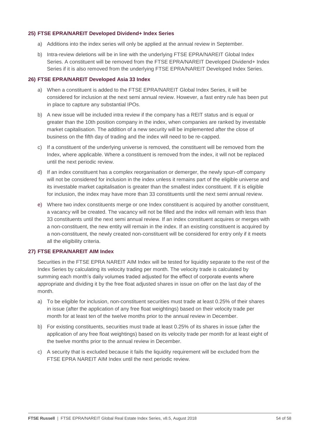#### **25) FTSE EPRA/NAREIT Developed Dividend+ Index Series**

- a) Additions into the index series will only be applied at the annual review in September.
- b) Intra-review deletions will be in line with the underlying FTSE EPRA/NAREIT Global Index Series. A constituent will be removed from the FTSE EPRA/NAREIT Developed Dividend+ Index Series if it is also removed from the underlying FTSE EPRA/NAREIT Developed Index Series.

#### **26) FTSE EPRA/NAREIT Developed Asia 33 Index**

- a) When a constituent is added to the FTSE EPRA/NAREIT Global Index Series, it will be considered for inclusion at the next semi annual review. However, a fast entry rule has been put in place to capture any substantial IPOs.
- b) A new issue will be included intra review if the company has a REIT status and is equal or greater than the 10th position company in the index, when companies are ranked by investable market capitalisation. The addition of a new security will be implemented after the close of business on the fifth day of trading and the index will need to be re-capped.
- c) If a constituent of the underlying universe is removed, the constituent will be removed from the Index, where applicable. Where a constituent is removed from the index, it will not be replaced until the next periodic review.
- d) If an index constituent has a complex reorganisation or demerger, the newly spun-off company will not be considered for inclusion in the index unless it remains part of the eligible universe and its investable market capitalisation is greater than the smallest index constituent. If it is eligible for inclusion, the index may have more than 33 constituents until the next semi annual review.
- e) Where two index constituents merge or one Index constituent is acquired by another constituent, a vacancy will be created. The vacancy will not be filled and the index will remain with less than 33 constituents until the next semi annual review. If an index constituent acquires or merges with a non-constituent, the new entity will remain in the index. If an existing constituent is acquired by a non-constituent, the newly created non-constituent will be considered for entry only if it meets all the eligibility criteria.

#### **27) FTSE EPRA/NAREIT AIM Index**

Securities in the FTSE EPRA NAREIT AIM Index will be tested for liquidity separate to the rest of the Index Series by calculating its velocity trading per month. The velocity trade is calculated by summing each month's daily volumes traded adjusted for the effect of corporate events where appropriate and dividing it by the free float adjusted shares in issue on offer on the last day of the month.

- a) To be eligible for inclusion, non-constituent securities must trade at least 0.25% of their shares in issue (after the application of any free float weightings) based on their velocity trade per month for at least ten of the twelve months prior to the annual review in December.
- b) For existing constituents, securities must trade at least 0.25% of its shares in issue (after the application of any free float weightings) based on its velocity trade per month for at least eight of the twelve months prior to the annual review in December.
- c) A security that is excluded because it fails the liquidity requirement will be excluded from the FTSE EPRA NAREIT AIM Index until the next periodic review.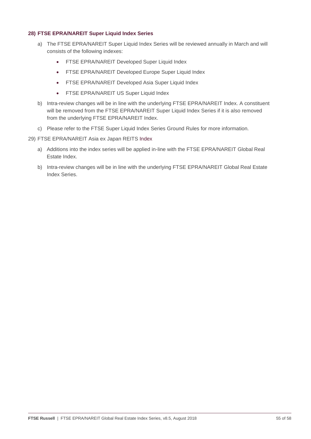#### **28) FTSE EPRA/NAREIT Super Liquid Index Series**

- a) The FTSE EPRA/NAREIT Super Liquid Index Series will be reviewed annually in March and will consists of the following indexes:
	- FTSE EPRA/NAREIT Developed Super Liquid Index
	- FTSE EPRA/NAREIT Developed Europe Super Liquid Index
	- FTSE EPRA/NAREIT Developed Asia Super Liquid Index
	- FTSE EPRA/NAREIT US Super Liquid Index
- b) Intra-review changes will be in line with the underlying FTSE EPRA/NAREIT Index. A constituent will be removed from the FTSE EPRA/NAREIT Super Liquid Index Series if it is also removed from the underlying FTSE EPRA/NAREIT Index.
- c) Please refer to the FTSE Super Liquid Index Series Ground Rules for more information.
- 29) FTSE EPRA/NAREIT Asia ex Japan REITS Index
	- a) Additions into the index series will be applied in-line with the FTSE EPRA/NAREIT Global Real Estate Index.
	- b) Intra-review changes will be in line with the underlying FTSE EPRA/NAREIT Global Real Estate Index Series.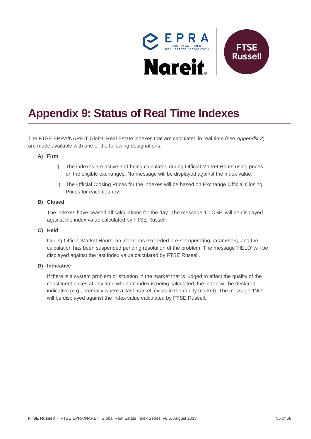

# <span id="page-55-0"></span>**Appendix 9: Status of Real Time Indexes**

The FTSE EPRA/NAREIT Global Real Estate indexes that are calculated in real time (see *Appendix 2*) are made available with one of the following designations:

#### **A) Firm**

- i) The indexes are active and being calculated during Official Market Hours using prices on the eligible exchanges. No message will be displayed against the index value.
- ii) The Official Closing Prices for the indexes will be based on Exchange Official Closing Prices for each country.

#### **B) Closed**

The indexes have ceased all calculations for the day. The message 'CLOSE' will be displayed against the index value calculated by FTSE Russell.

#### **C) Held**

During Official Market Hours, an index has exceeded pre-set operating parameters, and the calculation has been suspended pending resolution of the problem. The message 'HELD' will be displayed against the last index value calculated by FTSE Russell.

### **D) Indicative**

If there is a system problem or situation in the market that is judged to affect the quality of the constituent prices at any time when an index is being calculated, the index will be declared indicative (e.g., normally where a 'fast market' exists in the equity market). The message 'IND' will be displayed against the index value calculated by FTSE Russell.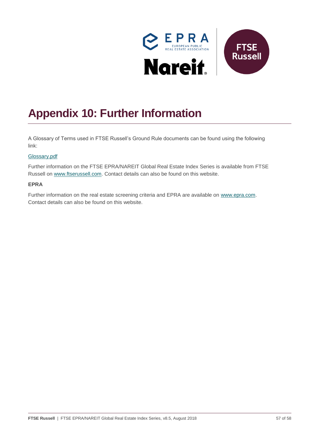

# <span id="page-56-0"></span>**Appendix 10: Further Information**

A Glossary of Terms used in FTSE Russell's Ground Rule documents can be found using the following link:

#### [Glossary.pdf](http://www.ftse.com/products/downloads/Glossary.pdf)

Further information on the FTSE EPRA/NAREIT Global Real Estate Index Series is available from FTSE Russell on [www.ftserussell.com.](http://www.ftserussell.com/) Contact details can also be found on this website.

#### **EPRA**

Further information on the real estate screening criteria and EPRA are available on [www.epra.com.](http://www.epra.com/) Contact details can also be found on this website.